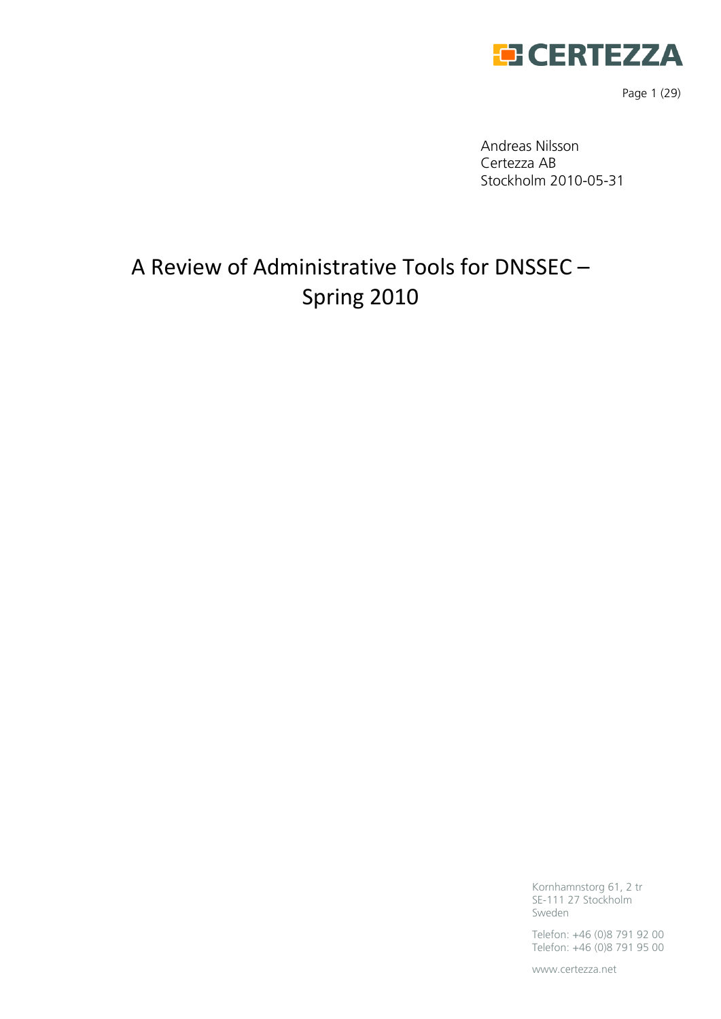

Page 1 (29)

Andreas Nilsson Certezza AB Stockholm 2010-05-31

# A Review of Administrative Tools for DNSSEC – Spring 2010

Kornhamnstorg 61, 2 tr SE-111 27 Stockholm Sweden

Telefon: +46 (0)8 791 92 00 Telefon: +46 (0)8 791 95 00

www.certezza.net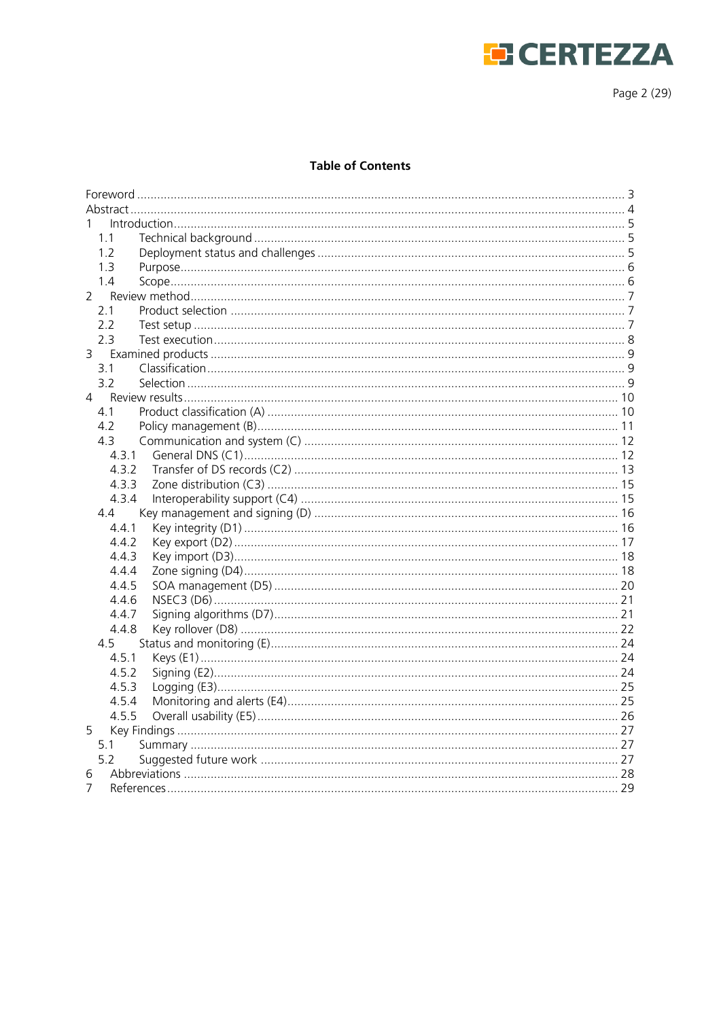

Page 2 (29)

#### **Table of Contents**

| 1.1   |  |  |
|-------|--|--|
| 1.2   |  |  |
| 1.3   |  |  |
| 1.4   |  |  |
| 2     |  |  |
| 2.1   |  |  |
| 2.2   |  |  |
| 2.3   |  |  |
| 3     |  |  |
| 3.1   |  |  |
| 3.2   |  |  |
| 4     |  |  |
| 4.1   |  |  |
| 4.2   |  |  |
| 43    |  |  |
| 4.3.1 |  |  |
| 4.3.2 |  |  |
| 4.3.3 |  |  |
| 4.3.4 |  |  |
| 4.4   |  |  |
| 4.4.1 |  |  |
| 4.4.2 |  |  |
| 4.4.3 |  |  |
| 4.4.4 |  |  |
| 4.4.5 |  |  |
| 4.4.6 |  |  |
| 4.4.7 |  |  |
| 4.4.8 |  |  |
| 4.5   |  |  |
| 4.5.1 |  |  |
| 4.5.2 |  |  |
| 4.5.3 |  |  |
| 4.5.4 |  |  |
| 4.5.5 |  |  |
| 5     |  |  |
| 5.1   |  |  |
| 5.2   |  |  |
| 6     |  |  |
| 7     |  |  |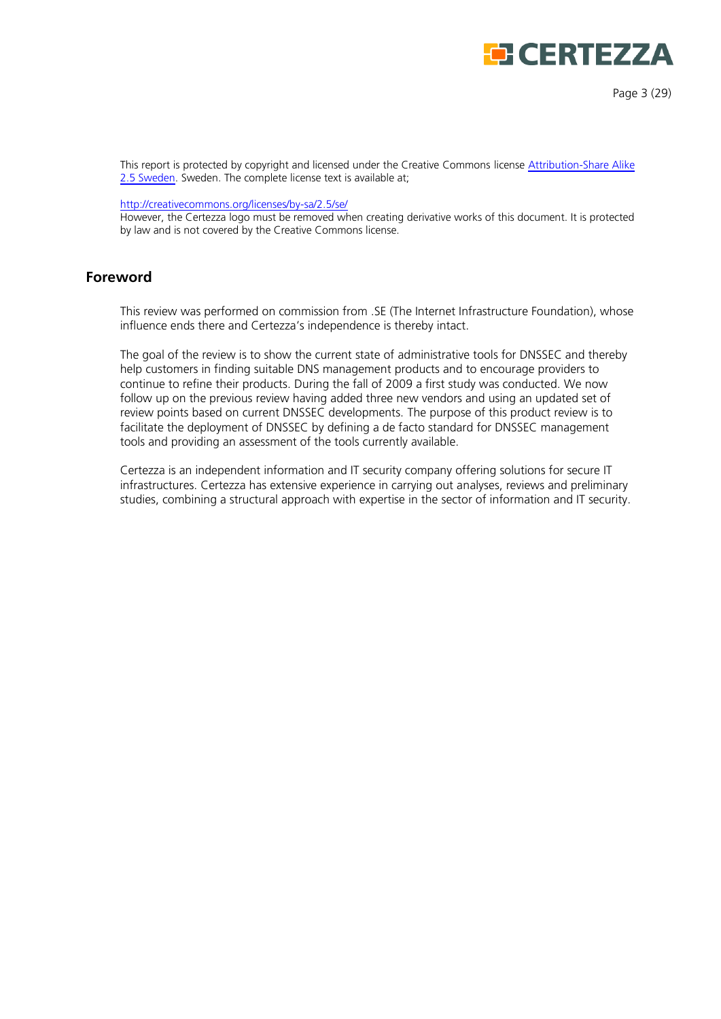

This report is protected by copyright and licensed under the Creative Commons license [Attribution-Share Alike](http://creativecommons.org/licenses/by-sa/2.5/se/)  [2.5 Sweden.](http://creativecommons.org/licenses/by-sa/2.5/se/) Sweden. The complete license text is available at;

<http://creativecommons.org/licenses/by-sa/2.5/se/>

However, the Certezza logo must be removed when creating derivative works of this document. It is protected by law and is not covered by the Creative Commons license.

## <span id="page-2-0"></span>**Foreword**

This review was performed on commission from .SE (The Internet Infrastructure Foundation), whose influence ends there and Certezza's independence is thereby intact.

The goal of the review is to show the current state of administrative tools for DNSSEC and thereby help customers in finding suitable DNS management products and to encourage providers to continue to refine their products. During the fall of 2009 a first study was conducted. We now follow up on the previous review having added three new vendors and using an updated set of review points based on current DNSSEC developments. The purpose of this product review is to facilitate the deployment of DNSSEC by defining a de facto standard for DNSSEC management tools and providing an assessment of the tools currently available.

Certezza is an independent information and IT security company offering solutions for secure IT infrastructures. Certezza has extensive experience in carrying out analyses, reviews and preliminary studies, combining a structural approach with expertise in the sector of information and IT security.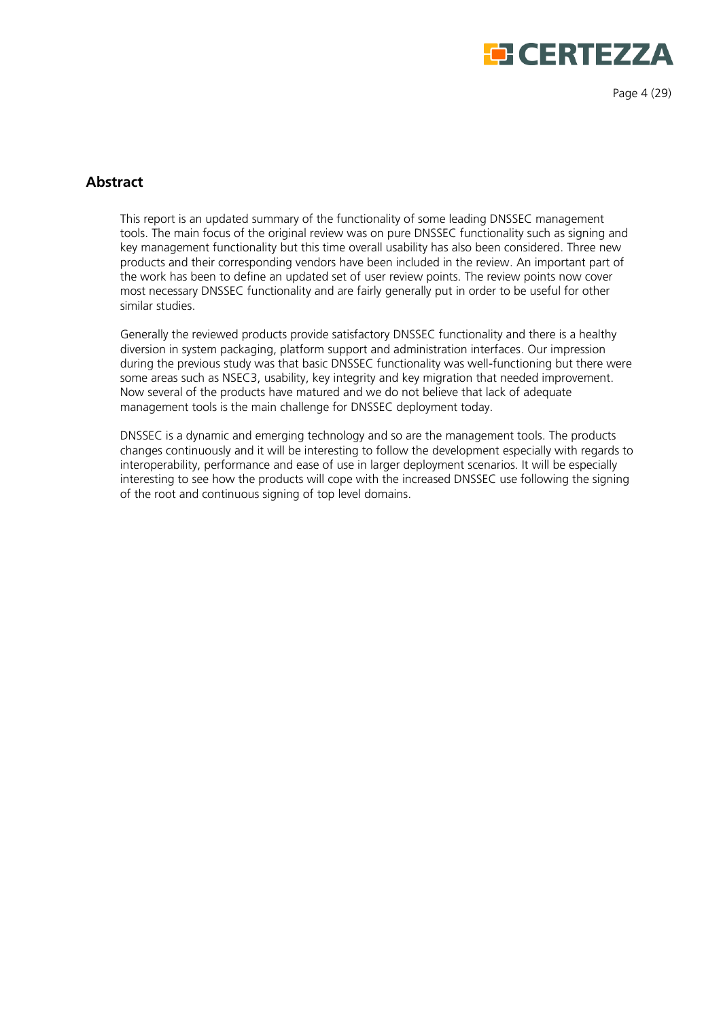

Page 4 (29)

# <span id="page-3-0"></span>**Abstract**

This report is an updated summary of the functionality of some leading DNSSEC management tools. The main focus of the original review was on pure DNSSEC functionality such as signing and key management functionality but this time overall usability has also been considered. Three new products and their corresponding vendors have been included in the review. An important part of the work has been to define an updated set of user review points. The review points now cover most necessary DNSSEC functionality and are fairly generally put in order to be useful for other similar studies.

Generally the reviewed products provide satisfactory DNSSEC functionality and there is a healthy diversion in system packaging, platform support and administration interfaces. Our impression during the previous study was that basic DNSSEC functionality was well-functioning but there were some areas such as NSEC3, usability, key integrity and key migration that needed improvement. Now several of the products have matured and we do not believe that lack of adequate management tools is the main challenge for DNSSEC deployment today.

DNSSEC is a dynamic and emerging technology and so are the management tools. The products changes continuously and it will be interesting to follow the development especially with regards to interoperability, performance and ease of use in larger deployment scenarios. It will be especially interesting to see how the products will cope with the increased DNSSEC use following the signing of the root and continuous signing of top level domains.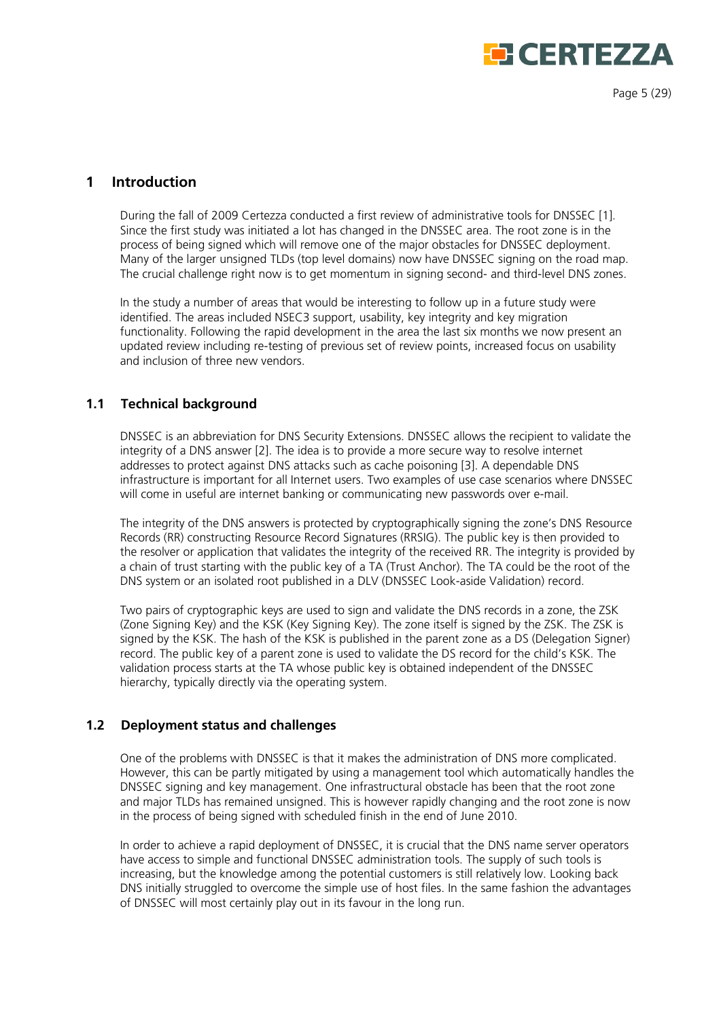# **EERTEZZA**

Page 5 (29)

# <span id="page-4-0"></span>**1 Introduction**

During the fall of 2009 Certezza conducted a first review of administrative tools for DNSSEC [1]. Since the first study was initiated a lot has changed in the DNSSEC area. The root zone is in the process of being signed which will remove one of the major obstacles for DNSSEC deployment. Many of the larger unsigned TLDs (top level domains) now have DNSSEC signing on the road map. The crucial challenge right now is to get momentum in signing second- and third-level DNS zones.

In the study a number of areas that would be interesting to follow up in a future study were identified. The areas included NSEC3 support, usability, key integrity and key migration functionality. Following the rapid development in the area the last six months we now present an updated review including re-testing of previous set of review points, increased focus on usability and inclusion of three new vendors.

## <span id="page-4-1"></span>**1.1 Technical background**

DNSSEC is an abbreviation for DNS Security Extensions. DNSSEC allows the recipient to validate the integrity of a DNS answer [2]. The idea is to provide a more secure way to resolve internet addresses to protect against DNS attacks such as cache poisoning [3]. A dependable DNS infrastructure is important for all Internet users. Two examples of use case scenarios where DNSSEC will come in useful are internet banking or communicating new passwords over e-mail.

The integrity of the DNS answers is protected by cryptographically signing the zone's DNS Resource Records (RR) constructing Resource Record Signatures (RRSIG). The public key is then provided to the resolver or application that validates the integrity of the received RR. The integrity is provided by a chain of trust starting with the public key of a TA (Trust Anchor). The TA could be the root of the DNS system or an isolated root published in a DLV (DNSSEC Look-aside Validation) record.

Two pairs of cryptographic keys are used to sign and validate the DNS records in a zone, the ZSK (Zone Signing Key) and the KSK (Key Signing Key). The zone itself is signed by the ZSK. The ZSK is signed by the KSK. The hash of the KSK is published in the parent zone as a DS (Delegation Signer) record. The public key of a parent zone is used to validate the DS record for the child's KSK. The validation process starts at the TA whose public key is obtained independent of the DNSSEC hierarchy, typically directly via the operating system.

## <span id="page-4-2"></span>**1.2 Deployment status and challenges**

One of the problems with DNSSEC is that it makes the administration of DNS more complicated. However, this can be partly mitigated by using a management tool which automatically handles the DNSSEC signing and key management. One infrastructural obstacle has been that the root zone and major TLDs has remained unsigned. This is however rapidly changing and the root zone is now in the process of being signed with scheduled finish in the end of June 2010.

In order to achieve a rapid deployment of DNSSEC, it is crucial that the DNS name server operators have access to simple and functional DNSSEC administration tools. The supply of such tools is increasing, but the knowledge among the potential customers is still relatively low. Looking back DNS initially struggled to overcome the simple use of host files. In the same fashion the advantages of DNSSEC will most certainly play out in its favour in the long run.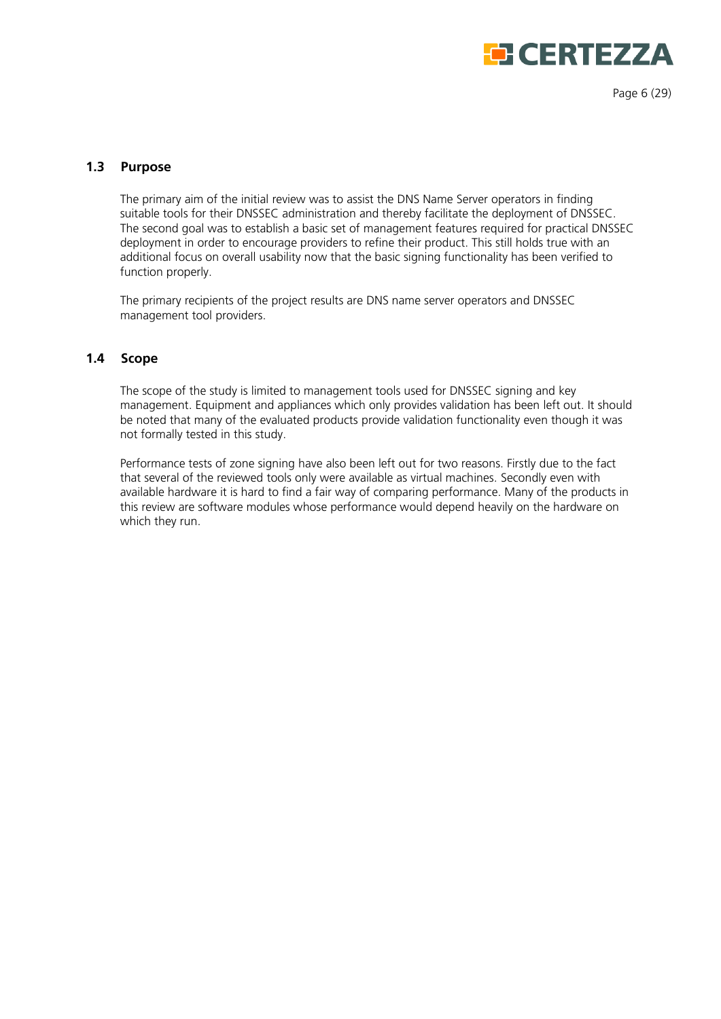

Page 6 (29)

#### <span id="page-5-0"></span>**1.3 Purpose**

The primary aim of the initial review was to assist the DNS Name Server operators in finding suitable tools for their DNSSEC administration and thereby facilitate the deployment of DNSSEC. The second goal was to establish a basic set of management features required for practical DNSSEC deployment in order to encourage providers to refine their product. This still holds true with an additional focus on overall usability now that the basic signing functionality has been verified to function properly.

The primary recipients of the project results are DNS name server operators and DNSSEC management tool providers.

#### <span id="page-5-1"></span>**1.4 Scope**

The scope of the study is limited to management tools used for DNSSEC signing and key management. Equipment and appliances which only provides validation has been left out. It should be noted that many of the evaluated products provide validation functionality even though it was not formally tested in this study.

Performance tests of zone signing have also been left out for two reasons. Firstly due to the fact that several of the reviewed tools only were available as virtual machines. Secondly even with available hardware it is hard to find a fair way of comparing performance. Many of the products in this review are software modules whose performance would depend heavily on the hardware on which they run.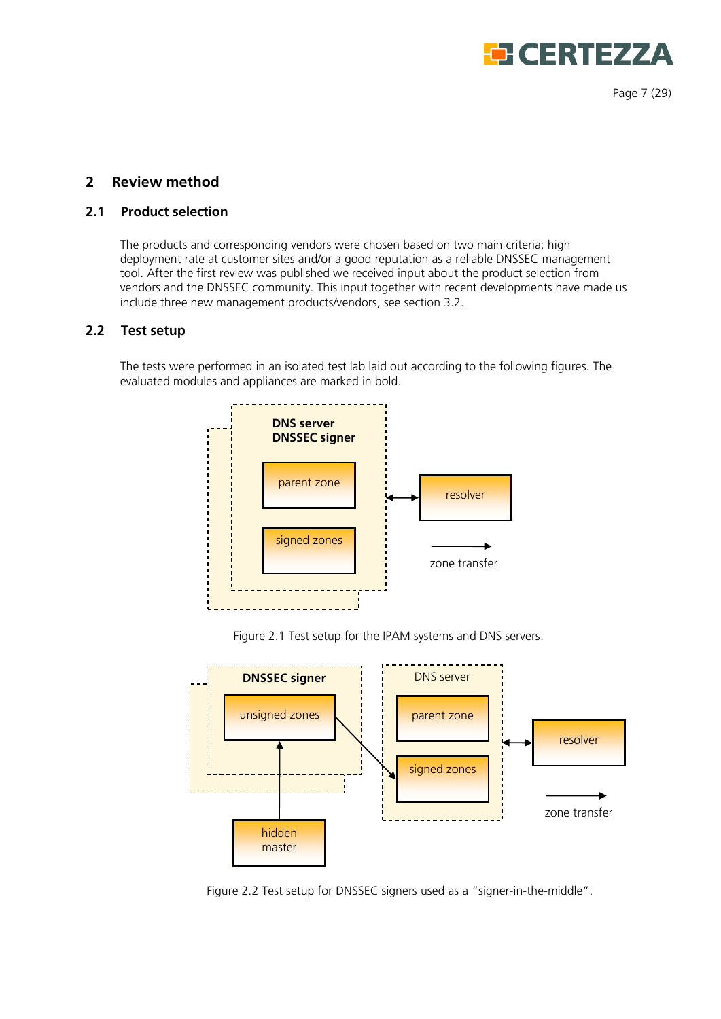

Page 7 (29)

# <span id="page-6-0"></span>**2 Review method**

# <span id="page-6-1"></span>**2.1 Product selection**

The products and corresponding vendors were chosen based on two main criteria; high deployment rate at customer sites and/or a good reputation as a reliable DNSSEC management tool. After the first review was published we received input about the product selection from vendors and the DNSSEC community. This input together with recent developments have made us include three new management products/vendors, see section 3.2.

#### <span id="page-6-2"></span>**2.2 Test setup**

The tests were performed in an isolated test lab laid out according to the following figures. The evaluated modules and appliances are marked in bold.



Figure 2.1 Test setup for the IPAM systems and DNS servers.



Figure 2.2 Test setup for DNSSEC signers used as a "signer-in-the-middle".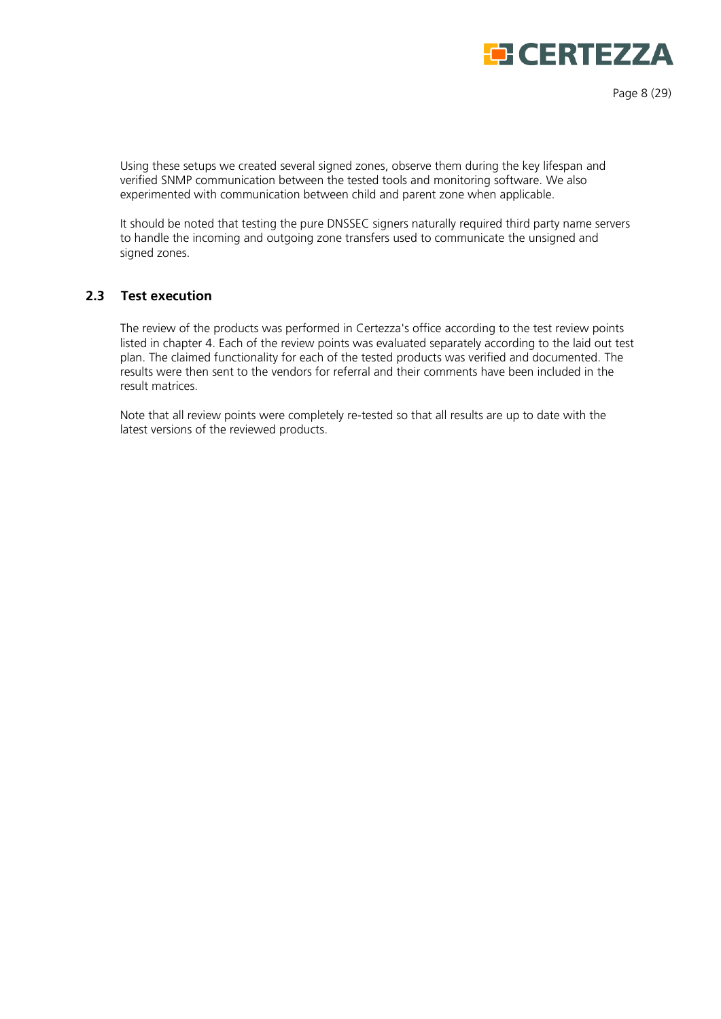

Page 8 (29)

Using these setups we created several signed zones, observe them during the key lifespan and verified SNMP communication between the tested tools and monitoring software. We also experimented with communication between child and parent zone when applicable.

It should be noted that testing the pure DNSSEC signers naturally required third party name servers to handle the incoming and outgoing zone transfers used to communicate the unsigned and signed zones.

#### <span id="page-7-0"></span>**2.3 Test execution**

The review of the products was performed in Certezza's office according to the test review points listed in chapter 4. Each of the review points was evaluated separately according to the laid out test plan. The claimed functionality for each of the tested products was verified and documented. The results were then sent to the vendors for referral and their comments have been included in the result matrices.

Note that all review points were completely re-tested so that all results are up to date with the latest versions of the reviewed products.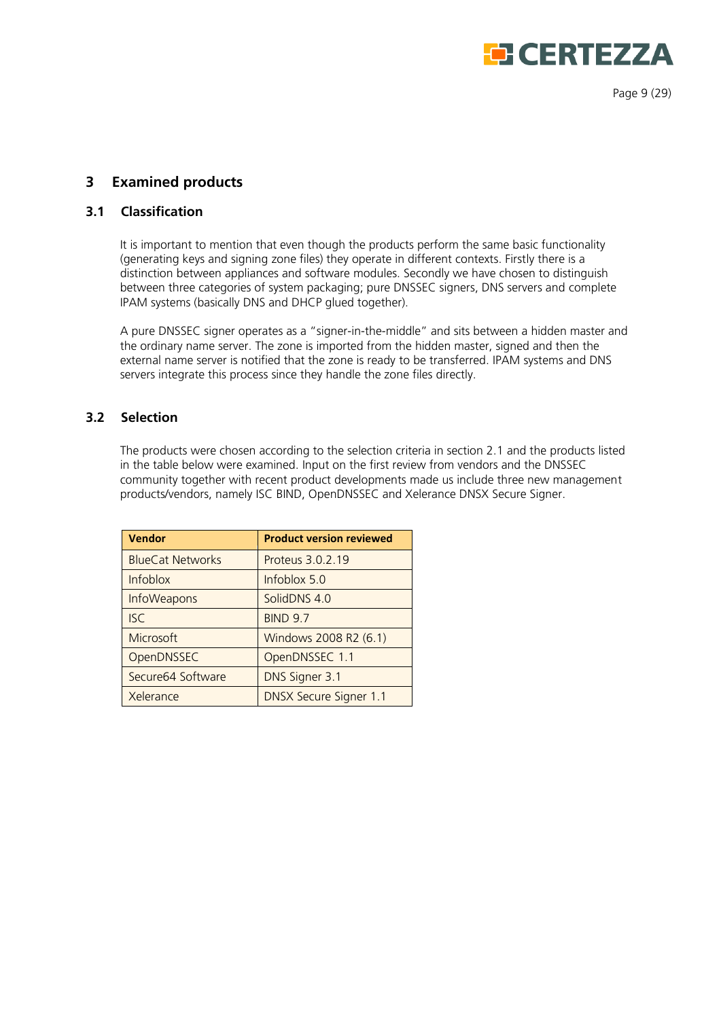

Page 9 (29)

# <span id="page-8-0"></span>**3 Examined products**

## <span id="page-8-1"></span>**3.1 Classification**

It is important to mention that even though the products perform the same basic functionality (generating keys and signing zone files) they operate in different contexts. Firstly there is a distinction between appliances and software modules. Secondly we have chosen to distinguish between three categories of system packaging; pure DNSSEC signers, DNS servers and complete IPAM systems (basically DNS and DHCP glued together).

A pure DNSSEC signer operates as a 'signer-in-the-middle' and sits between a hidden master and the ordinary name server. The zone is imported from the hidden master, signed and then the external name server is notified that the zone is ready to be transferred. IPAM systems and DNS servers integrate this process since they handle the zone files directly.

# <span id="page-8-2"></span>**3.2 Selection**

The products were chosen according to the selection criteria in section 2.1 and the products listed in the table below were examined. Input on the first review from vendors and the DNSSEC community together with recent product developments made us include three new management products/vendors, namely ISC BIND, OpenDNSSEC and Xelerance DNSX Secure Signer.

| Vendor                  | <b>Product version reviewed</b> |
|-------------------------|---------------------------------|
| <b>BlueCat Networks</b> | Proteus 3.0.2.19                |
| <b>Infoblox</b>         | Infoblox 5.0                    |
| <b>InfoWeapons</b>      | SolidDNS 4.0                    |
| <b>ISC</b>              | <b>BIND 9.7</b>                 |
| Microsoft               | Windows 2008 R2 (6.1)           |
| OpenDNSSEC              | OpenDNSSEC 1.1                  |
| Secure64 Software       | DNS Signer 3.1                  |
| Xelerance               | <b>DNSX Secure Signer 1.1</b>   |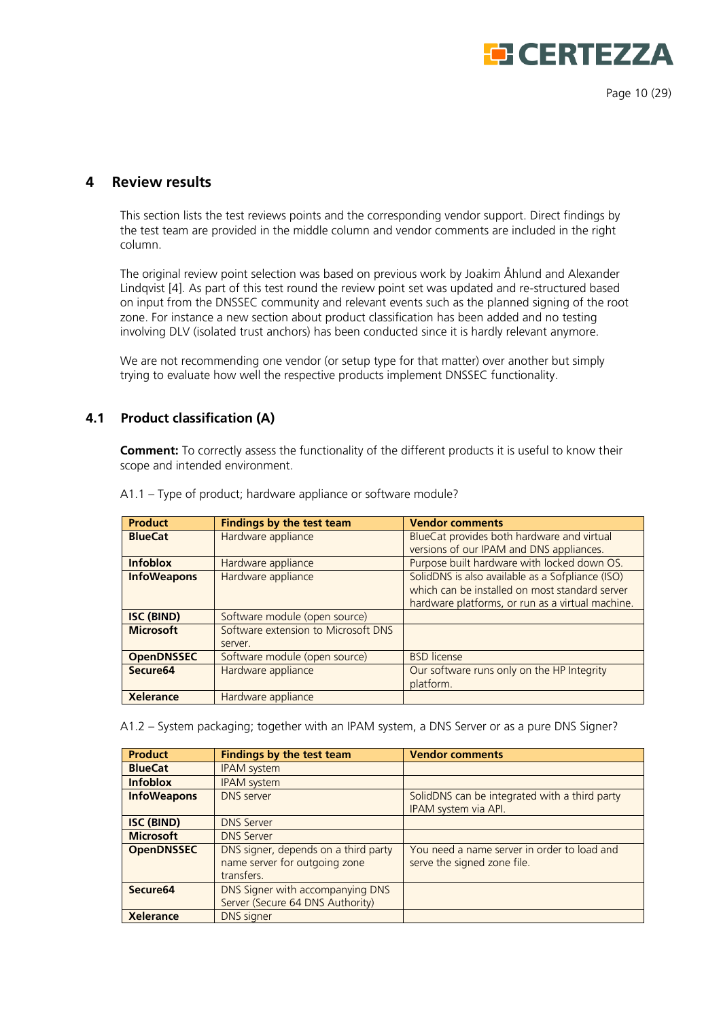

Page 10 (29)

# <span id="page-9-0"></span>**4 Review results**

This section lists the test reviews points and the corresponding vendor support. Direct findings by the test team are provided in the middle column and vendor comments are included in the right column.

The original review point selection was based on previous work by Joakim Åhlund and Alexander Lindqvist [4]. As part of this test round the review point set was updated and re-structured based on input from the DNSSEC community and relevant events such as the planned signing of the root zone. For instance a new section about product classification has been added and no testing involving DLV (isolated trust anchors) has been conducted since it is hardly relevant anymore.

We are not recommending one vendor (or setup type for that matter) over another but simply trying to evaluate how well the respective products implement DNSSEC functionality.

## <span id="page-9-1"></span>**4.1 Product classification (A)**

**Comment:** To correctly assess the functionality of the different products it is useful to know their scope and intended environment.

| <b>Product</b>       | <b>Findings by the test team</b>    | <b>Vendor comments</b>                           |
|----------------------|-------------------------------------|--------------------------------------------------|
| <b>BlueCat</b>       | Hardware appliance                  | BlueCat provides both hardware and virtual       |
|                      |                                     | versions of our IPAM and DNS appliances.         |
| <b>Infoblox</b>      | Hardware appliance                  | Purpose built hardware with locked down OS.      |
| <b>InfoWeapons</b>   | Hardware appliance                  | SolidDNS is also available as a Sofpliance (ISO) |
|                      |                                     | which can be installed on most standard server   |
|                      |                                     | hardware platforms, or run as a virtual machine. |
| <b>ISC (BIND)</b>    | Software module (open source)       |                                                  |
| <b>Microsoft</b>     | Software extension to Microsoft DNS |                                                  |
|                      | server.                             |                                                  |
| <b>OpenDNSSEC</b>    | Software module (open source)       | <b>BSD</b> license                               |
| Secure <sub>64</sub> | Hardware appliance                  | Our software runs only on the HP Integrity       |
|                      |                                     | platform.                                        |
| <b>Xelerance</b>     | Hardware appliance                  |                                                  |

A1.1 – Type of product; hardware appliance or software module?

A1.2 – System packaging; together with an IPAM system, a DNS Server or as a pure DNS Signer?

| <b>Product</b>       | <b>Findings by the test team</b>                                                    | <b>Vendor comments</b>                                                     |
|----------------------|-------------------------------------------------------------------------------------|----------------------------------------------------------------------------|
| <b>BlueCat</b>       | <b>IPAM</b> system                                                                  |                                                                            |
| <b>Infoblox</b>      | <b>IPAM</b> system                                                                  |                                                                            |
| <b>InfoWeapons</b>   | <b>DNS</b> server                                                                   | SolidDNS can be integrated with a third party<br>IPAM system via API.      |
| <b>ISC (BIND)</b>    | <b>DNS Server</b>                                                                   |                                                                            |
| <b>Microsoft</b>     | <b>DNS Server</b>                                                                   |                                                                            |
| <b>OpenDNSSEC</b>    | DNS signer, depends on a third party<br>name server for outgoing zone<br>transfers. | You need a name server in order to load and<br>serve the signed zone file. |
| Secure <sub>64</sub> | DNS Signer with accompanying DNS<br>Server (Secure 64 DNS Authority)                |                                                                            |
| <b>Xelerance</b>     | <b>DNS</b> signer                                                                   |                                                                            |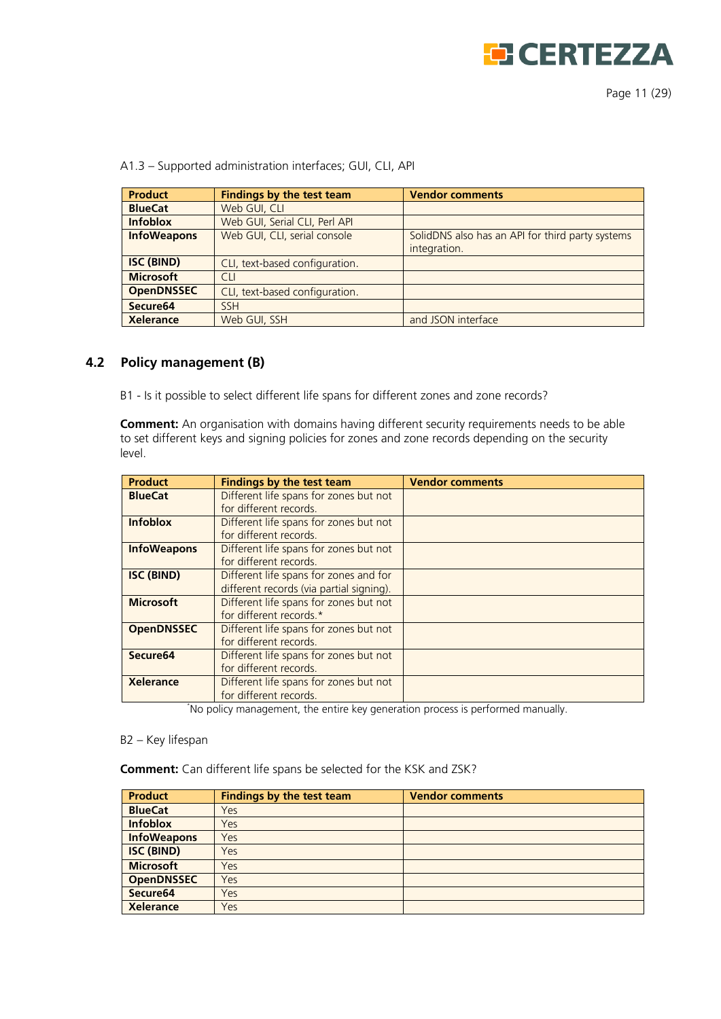

Page 11 (29)

A1.3 – Supported administration interfaces; GUI, CLI, API

| <b>Product</b>     | <b>Findings by the test team</b> | <b>Vendor comments</b>                                           |
|--------------------|----------------------------------|------------------------------------------------------------------|
| <b>BlueCat</b>     | Web GUI, CLI                     |                                                                  |
| <b>Infoblox</b>    | Web GUI, Serial CLI, Perl API    |                                                                  |
| <b>InfoWeapons</b> | Web GUI, CLI, serial console     | SolidDNS also has an API for third party systems<br>integration. |
| <b>ISC (BIND)</b>  | CLI, text-based configuration.   |                                                                  |
| <b>Microsoft</b>   | <b>CLI</b>                       |                                                                  |
| <b>OpenDNSSEC</b>  | CLI, text-based configuration.   |                                                                  |
| Secure64           | <b>SSH</b>                       |                                                                  |
| <b>Xelerance</b>   | Web GUI, SSH                     | and JSON interface                                               |

#### <span id="page-10-0"></span>**4.2 Policy management (B)**

B1 - Is it possible to select different life spans for different zones and zone records?

**Comment:** An organisation with domains having different security requirements needs to be able to set different keys and signing policies for zones and zone records depending on the security level.

| <b>Product</b>       | <b>Findings by the test team</b>                                                   | <b>Vendor comments</b> |
|----------------------|------------------------------------------------------------------------------------|------------------------|
| <b>BlueCat</b>       | Different life spans for zones but not<br>for different records.                   |                        |
| <b>Infoblox</b>      | Different life spans for zones but not<br>for different records.                   |                        |
| <b>InfoWeapons</b>   | Different life spans for zones but not<br>for different records.                   |                        |
| <b>ISC (BIND)</b>    | Different life spans for zones and for<br>different records (via partial signing). |                        |
| <b>Microsoft</b>     | Different life spans for zones but not<br>for different records.*                  |                        |
| <b>OpenDNSSEC</b>    | Different life spans for zones but not<br>for different records.                   |                        |
| Secure <sub>64</sub> | Different life spans for zones but not<br>for different records.                   |                        |
| <b>Xelerance</b>     | Different life spans for zones but not<br>for different records.                   |                        |

\* No policy management, the entire key generation process is performed manually.

#### B2 – Key lifespan

**Comment:** Can different life spans be selected for the KSK and ZSK?

| <b>Product</b>       | <b>Findings by the test team</b> | <b>Vendor comments</b> |
|----------------------|----------------------------------|------------------------|
| <b>BlueCat</b>       | Yes                              |                        |
| <b>Infoblox</b>      | Yes                              |                        |
| <b>InfoWeapons</b>   | Yes                              |                        |
| <b>ISC (BIND)</b>    | Yes                              |                        |
| <b>Microsoft</b>     | Yes                              |                        |
| <b>OpenDNSSEC</b>    | Yes                              |                        |
| Secure <sub>64</sub> | Yes                              |                        |
| <b>Xelerance</b>     | Yes                              |                        |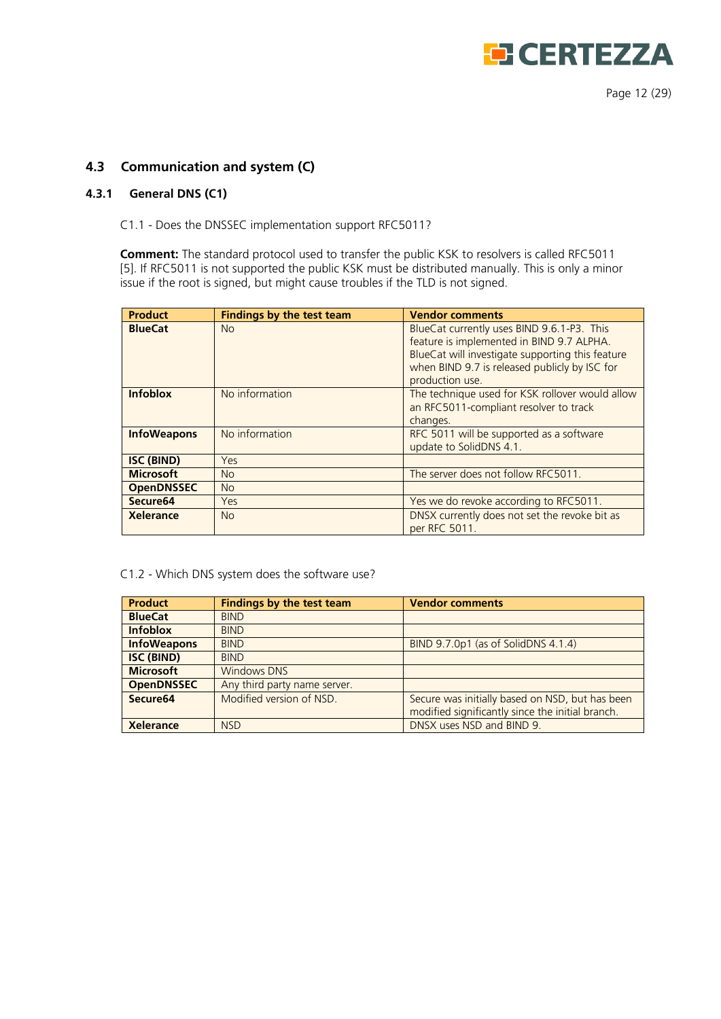

Page 12 (29)

# <span id="page-11-0"></span>**4.3 Communication and system (C)**

#### <span id="page-11-1"></span>**4.3.1 General DNS (C1)**

C1.1 - Does the DNSSEC implementation support RFC5011?

**Comment:** The standard protocol used to transfer the public KSK to resolvers is called RFC5011 [5]. If RFC5011 is not supported the public KSK must be distributed manually. This is only a minor issue if the root is signed, but might cause troubles if the TLD is not signed.

| <b>Product</b>     | <b>Findings by the test team</b> | <b>Vendor comments</b>                                                                                                                                                                                          |
|--------------------|----------------------------------|-----------------------------------------------------------------------------------------------------------------------------------------------------------------------------------------------------------------|
| <b>BlueCat</b>     | <b>No</b>                        | BlueCat currently uses BIND 9.6.1-P3. This<br>feature is implemented in BIND 9.7 ALPHA.<br>BlueCat will investigate supporting this feature<br>when BIND 9.7 is released publicly by ISC for<br>production use. |
| <b>Infoblox</b>    | No information                   | The technique used for KSK rollover would allow<br>an RFC5011-compliant resolver to track<br>changes.                                                                                                           |
| <b>InfoWeapons</b> | No information                   | RFC 5011 will be supported as a software<br>update to SolidDNS 4.1.                                                                                                                                             |
| <b>ISC (BIND)</b>  | Yes                              |                                                                                                                                                                                                                 |
| <b>Microsoft</b>   | <b>No</b>                        | The server does not follow RFC5011.                                                                                                                                                                             |
| <b>OpenDNSSEC</b>  | <b>No</b>                        |                                                                                                                                                                                                                 |
| Secure64           | Yes                              | Yes we do revoke according to RFC5011.                                                                                                                                                                          |
| <b>Xelerance</b>   | <b>No</b>                        | DNSX currently does not set the revoke bit as<br>per RFC 5011.                                                                                                                                                  |

#### C1.2 - Which DNS system does the software use?

| <b>Product</b>       | <b>Findings by the test team</b> | <b>Vendor comments</b>                           |
|----------------------|----------------------------------|--------------------------------------------------|
| <b>BlueCat</b>       | <b>BIND</b>                      |                                                  |
| <b>Infoblox</b>      | <b>BIND</b>                      |                                                  |
| <b>InfoWeapons</b>   | <b>BIND</b>                      | BIND 9.7.0p1 (as of SolidDNS 4.1.4)              |
| <b>ISC (BIND)</b>    | <b>BIND</b>                      |                                                  |
| <b>Microsoft</b>     | <b>Windows DNS</b>               |                                                  |
| <b>OpenDNSSEC</b>    | Any third party name server.     |                                                  |
| Secure <sub>64</sub> | Modified version of NSD.         | Secure was initially based on NSD, but has been  |
|                      |                                  | modified significantly since the initial branch. |
| <b>Xelerance</b>     | <b>NSD</b>                       | DNSX uses NSD and BIND 9.                        |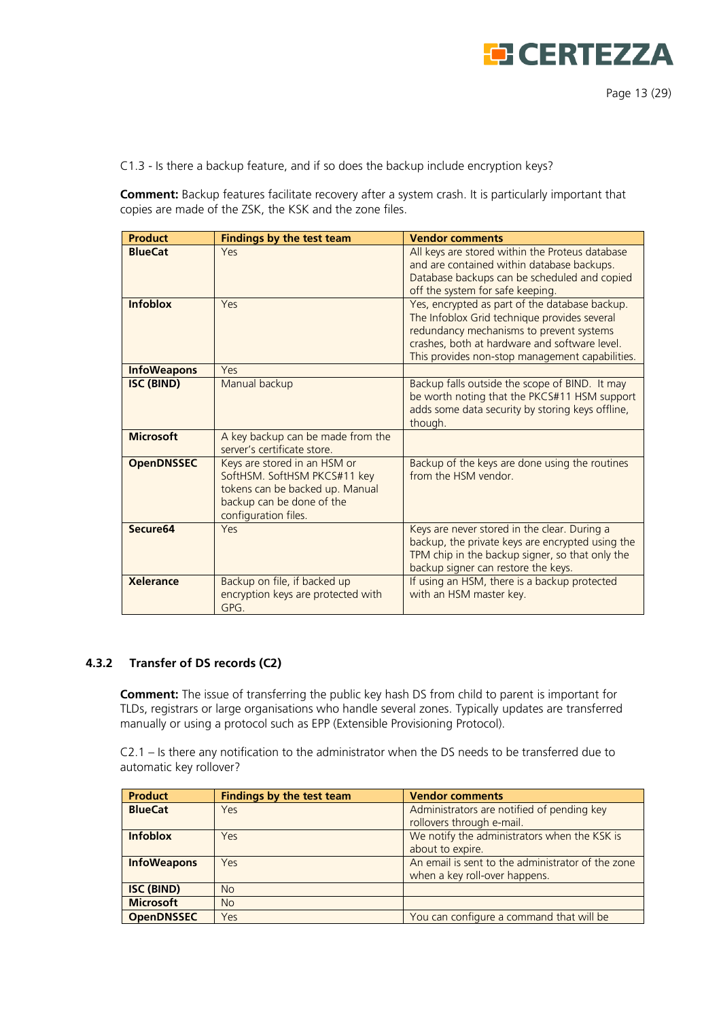

C1.3 - Is there a backup feature, and if so does the backup include encryption keys?

**Comment:** Backup features facilitate recovery after a system crash. It is particularly important that copies are made of the ZSK, the KSK and the zone files.

| <b>Product</b>       | <b>Findings by the test team</b>                                                                                                                     | <b>Vendor comments</b>                                                                                                                                                                                                                         |
|----------------------|------------------------------------------------------------------------------------------------------------------------------------------------------|------------------------------------------------------------------------------------------------------------------------------------------------------------------------------------------------------------------------------------------------|
| <b>BlueCat</b>       | Yes                                                                                                                                                  | All keys are stored within the Proteus database<br>and are contained within database backups.<br>Database backups can be scheduled and copied<br>off the system for safe keeping.                                                              |
| <b>Infoblox</b>      | Yes                                                                                                                                                  | Yes, encrypted as part of the database backup.<br>The Infoblox Grid technique provides several<br>redundancy mechanisms to prevent systems<br>crashes, both at hardware and software level.<br>This provides non-stop management capabilities. |
| <b>InfoWeapons</b>   | Yes                                                                                                                                                  |                                                                                                                                                                                                                                                |
| <b>ISC (BIND)</b>    | Manual backup                                                                                                                                        | Backup falls outside the scope of BIND. It may<br>be worth noting that the PKCS#11 HSM support<br>adds some data security by storing keys offline,<br>though.                                                                                  |
| <b>Microsoft</b>     | A key backup can be made from the<br>server's certificate store.                                                                                     |                                                                                                                                                                                                                                                |
| <b>OpenDNSSEC</b>    | Keys are stored in an HSM or<br>SoftHSM. SoftHSM PKCS#11 key<br>tokens can be backed up. Manual<br>backup can be done of the<br>configuration files. | Backup of the keys are done using the routines<br>from the HSM vendor.                                                                                                                                                                         |
| Secure <sub>64</sub> | Yes                                                                                                                                                  | Keys are never stored in the clear. During a<br>backup, the private keys are encrypted using the<br>TPM chip in the backup signer, so that only the<br>backup signer can restore the keys.                                                     |
| <b>Xelerance</b>     | Backup on file, if backed up<br>encryption keys are protected with<br>GPG.                                                                           | If using an HSM, there is a backup protected<br>with an HSM master key.                                                                                                                                                                        |

#### <span id="page-12-0"></span>**4.3.2 Transfer of DS records (C2)**

**Comment:** The issue of transferring the public key hash DS from child to parent is important for TLDs, registrars or large organisations who handle several zones. Typically updates are transferred manually or using a protocol such as EPP (Extensible Provisioning Protocol).

C2.1 – Is there any notification to the administrator when the DS needs to be transferred due to automatic key rollover?

| <b>Product</b>     | <b>Findings by the test team</b> | <b>Vendor comments</b>                            |
|--------------------|----------------------------------|---------------------------------------------------|
| <b>BlueCat</b>     | Yes.                             | Administrators are notified of pending key        |
|                    |                                  | rollovers through e-mail.                         |
| <b>Infoblox</b>    | Yes                              | We notify the administrators when the KSK is      |
|                    |                                  | about to expire.                                  |
| <b>InfoWeapons</b> | Yes                              | An email is sent to the administrator of the zone |
|                    |                                  | when a key roll-over happens.                     |
| <b>ISC (BIND)</b>  | <b>No</b>                        |                                                   |
| <b>Microsoft</b>   | <b>No</b>                        |                                                   |
| <b>OpenDNSSEC</b>  | Yes                              | You can configure a command that will be          |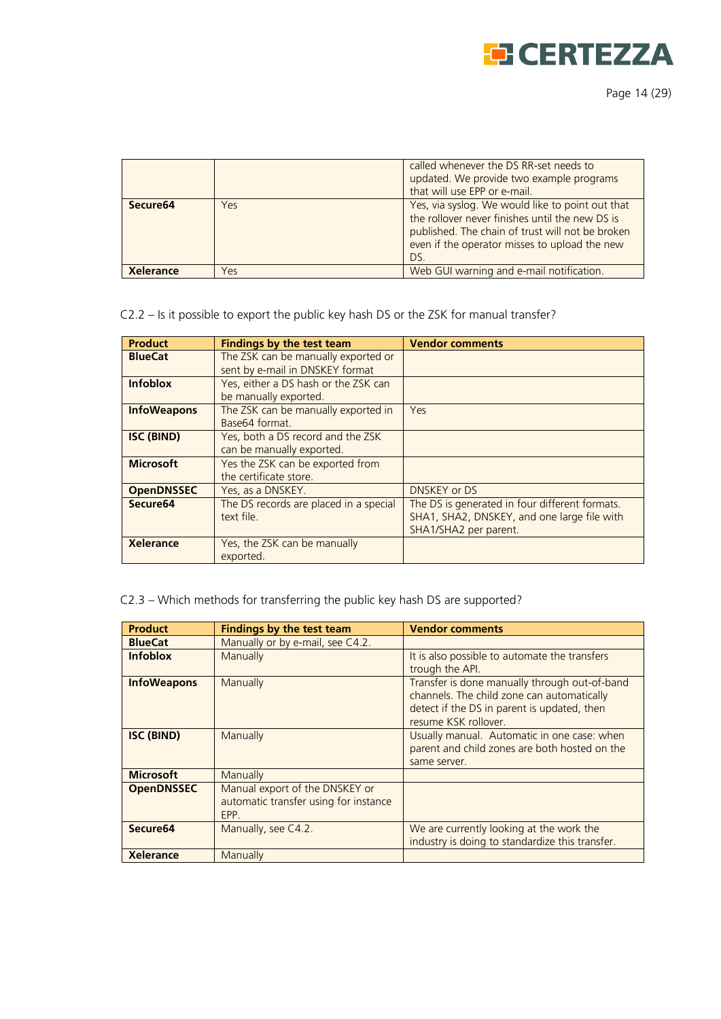

|                      |     | called whenever the DS RR-set needs to<br>updated. We provide two example programs<br>that will use EPP or e-mail.                                                                                              |
|----------------------|-----|-----------------------------------------------------------------------------------------------------------------------------------------------------------------------------------------------------------------|
| Secure <sub>64</sub> | Yes | Yes, via syslog. We would like to point out that<br>the rollover never finishes until the new DS is<br>published. The chain of trust will not be broken<br>even if the operator misses to upload the new<br>DS. |
| <b>Xelerance</b>     | Yes | Web GUI warning and e-mail notification.                                                                                                                                                                        |

# C2.2 – Is it possible to export the public key hash DS or the ZSK for manual transfer?

| <b>Product</b>       | <b>Findings by the test team</b>                                       | <b>Vendor comments</b>                                                                                                 |
|----------------------|------------------------------------------------------------------------|------------------------------------------------------------------------------------------------------------------------|
| <b>BlueCat</b>       | The ZSK can be manually exported or<br>sent by e-mail in DNSKEY format |                                                                                                                        |
| <b>Infoblox</b>      | Yes, either a DS hash or the ZSK can<br>be manually exported.          |                                                                                                                        |
| <b>InfoWeapons</b>   | The ZSK can be manually exported in<br>Base64 format.                  | Yes                                                                                                                    |
| <b>ISC (BIND)</b>    | Yes, both a DS record and the ZSK<br>can be manually exported.         |                                                                                                                        |
| <b>Microsoft</b>     | Yes the ZSK can be exported from<br>the certificate store.             |                                                                                                                        |
| <b>OpenDNSSEC</b>    | Yes, as a DNSKEY.                                                      | <b>DNSKEY or DS</b>                                                                                                    |
| Secure <sub>64</sub> | The DS records are placed in a special<br>text file.                   | The DS is generated in four different formats.<br>SHA1, SHA2, DNSKEY, and one large file with<br>SHA1/SHA2 per parent. |
| <b>Xelerance</b>     | Yes, the ZSK can be manually<br>exported.                              |                                                                                                                        |

# C2.3 – Which methods for transferring the public key hash DS are supported?

| <b>Product</b>       | <b>Findings by the test team</b>                                                | <b>Vendor comments</b>                                                                                                                                             |
|----------------------|---------------------------------------------------------------------------------|--------------------------------------------------------------------------------------------------------------------------------------------------------------------|
| <b>BlueCat</b>       | Manually or by e-mail, see C4.2.                                                |                                                                                                                                                                    |
| <b>Infoblox</b>      | Manually                                                                        | It is also possible to automate the transfers<br>trough the API.                                                                                                   |
| <b>InfoWeapons</b>   | Manually                                                                        | Transfer is done manually through out-of-band<br>channels. The child zone can automatically<br>detect if the DS in parent is updated, then<br>resume KSK rollover. |
| <b>ISC (BIND)</b>    | Manually                                                                        | Usually manual. Automatic in one case: when<br>parent and child zones are both hosted on the<br>same server.                                                       |
| <b>Microsoft</b>     | Manually                                                                        |                                                                                                                                                                    |
| <b>OpenDNSSEC</b>    | Manual export of the DNSKEY or<br>automatic transfer using for instance<br>EPP. |                                                                                                                                                                    |
| Secure <sub>64</sub> | Manually, see C4.2.                                                             | We are currently looking at the work the<br>industry is doing to standardize this transfer.                                                                        |
| <b>Xelerance</b>     | Manually                                                                        |                                                                                                                                                                    |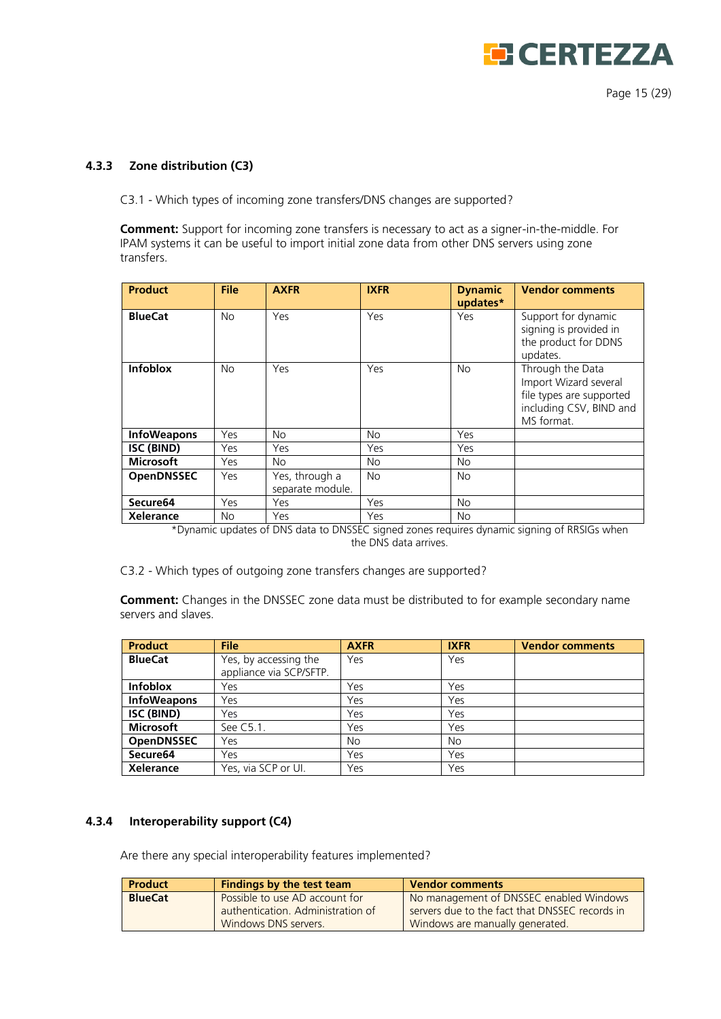

Page 15 (29)

#### <span id="page-14-0"></span>**4.3.3 Zone distribution (C3)**

C3.1 - Which types of incoming zone transfers/DNS changes are supported?

**Comment:** Support for incoming zone transfers is necessary to act as a signer-in-the-middle. For IPAM systems it can be useful to import initial zone data from other DNS servers using zone transfers.

| <b>Product</b>     | <b>File</b>    | <b>AXFR</b>                        | <b>IXFR</b>    | <b>Dynamic</b><br>updates* | <b>Vendor comments</b>                                                                                         |
|--------------------|----------------|------------------------------------|----------------|----------------------------|----------------------------------------------------------------------------------------------------------------|
| <b>BlueCat</b>     | <b>No</b>      | Yes                                | Yes            | Yes                        | Support for dynamic<br>signing is provided in<br>the product for DDNS<br>updates.                              |
| <b>Infoblox</b>    | N <sub>o</sub> | Yes                                | Yes            | <b>No</b>                  | Through the Data<br>Import Wizard several<br>file types are supported<br>including CSV, BIND and<br>MS format. |
| <b>InfoWeapons</b> | Yes            | <b>No</b>                          | <b>No</b>      | Yes                        |                                                                                                                |
| ISC (BIND)         | Yes            | Yes                                | Yes            | Yes                        |                                                                                                                |
| <b>Microsoft</b>   | Yes            | <b>No</b>                          | N <sub>o</sub> | <b>No</b>                  |                                                                                                                |
| <b>OpenDNSSEC</b>  | Yes            | Yes, through a<br>separate module. | <b>No</b>      | <b>No</b>                  |                                                                                                                |
| Secure64           | Yes            | Yes                                | Yes            | <b>No</b>                  |                                                                                                                |
| Xelerance          | No.            | Yes                                | Yes            | No.                        |                                                                                                                |

\*Dynamic updates of DNS data to DNSSEC signed zones requires dynamic signing of RRSIGs when the DNS data arrives.

C3.2 - Which types of outgoing zone transfers changes are supported?

**Comment:** Changes in the DNSSEC zone data must be distributed to for example secondary name servers and slaves.

| <b>Product</b>       | <b>File</b>                                      | <b>AXFR</b> | <b>IXFR</b> | <b>Vendor comments</b> |
|----------------------|--------------------------------------------------|-------------|-------------|------------------------|
| <b>BlueCat</b>       | Yes, by accessing the<br>appliance via SCP/SFTP. | Yes         | Yes         |                        |
| <b>Infoblox</b>      | Yes                                              | Yes         | Yes         |                        |
| <b>InfoWeapons</b>   | Yes                                              | Yes         | Yes         |                        |
| ISC (BIND)           | Yes                                              | Yes         | Yes         |                        |
| Microsoft            | See C5.1.                                        | Yes         | Yes         |                        |
| <b>OpenDNSSEC</b>    | Yes                                              | No          | No          |                        |
| Secure <sub>64</sub> | Yes                                              | Yes         | Yes         |                        |
| Xelerance            | Yes, via SCP or UI.                              | Yes         | Yes         |                        |

#### <span id="page-14-1"></span>**4.3.4 Interoperability support (C4)**

Are there any special interoperability features implemented?

| <b>Product</b> | Findings by the test team                                                                   | <b>Vendor comments</b>                                                                                                       |
|----------------|---------------------------------------------------------------------------------------------|------------------------------------------------------------------------------------------------------------------------------|
| <b>BlueCat</b> | Possible to use AD account for<br>authentication. Administration of<br>Windows DNS servers. | No management of DNSSEC enabled Windows<br>servers due to the fact that DNSSEC records in<br>Windows are manually generated. |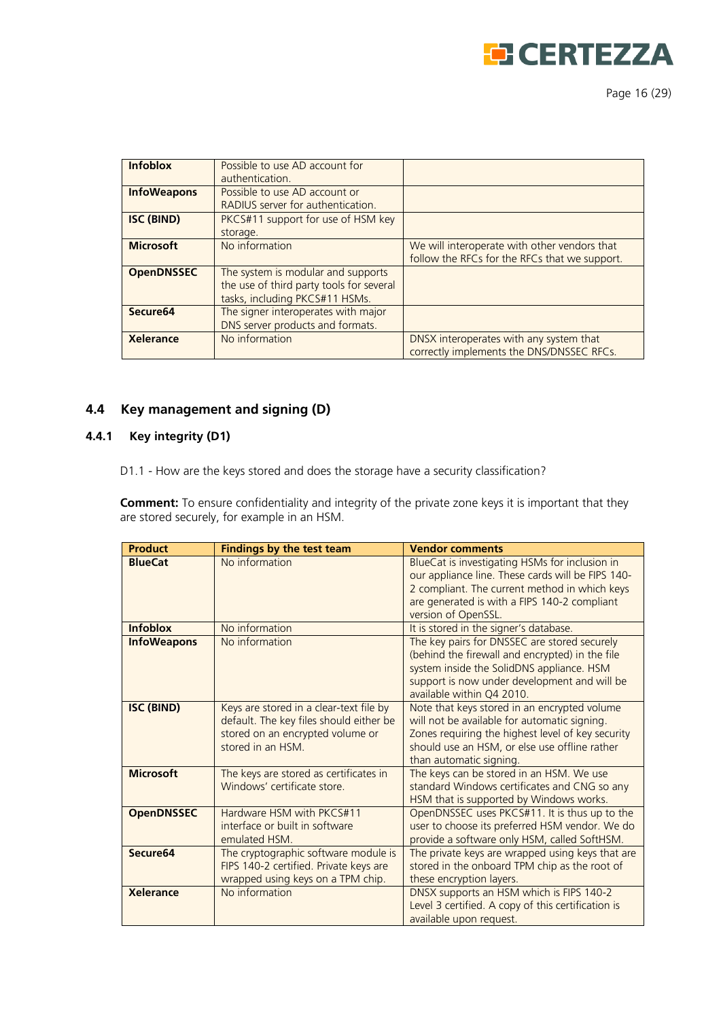

Page 16 (29)

| <b>Infoblox</b>      | Possible to use AD account for           |                                               |
|----------------------|------------------------------------------|-----------------------------------------------|
|                      | authentication.                          |                                               |
| <b>InfoWeapons</b>   | Possible to use AD account or            |                                               |
|                      | RADIUS server for authentication.        |                                               |
| <b>ISC (BIND)</b>    | PKCS#11 support for use of HSM key       |                                               |
|                      | storage.                                 |                                               |
| <b>Microsoft</b>     | No information                           | We will interoperate with other vendors that  |
|                      |                                          | follow the RFCs for the RFCs that we support. |
| <b>OpenDNSSEC</b>    | The system is modular and supports       |                                               |
|                      | the use of third party tools for several |                                               |
|                      | tasks, including PKCS#11 HSMs.           |                                               |
| Secure <sub>64</sub> | The signer interoperates with major      |                                               |
|                      | DNS server products and formats.         |                                               |
| <b>Xelerance</b>     | No information                           | DNSX interoperates with any system that       |
|                      |                                          | correctly implements the DNS/DNSSEC RFCs.     |

# <span id="page-15-0"></span>**4.4 Key management and signing (D)**

# <span id="page-15-1"></span>**4.4.1 Key integrity (D1)**

D1.1 - How are the keys stored and does the storage have a security classification?

**Comment:** To ensure confidentiality and integrity of the private zone keys it is important that they are stored securely, for example in an HSM.

| <b>Product</b>       | <b>Findings by the test team</b>                                                                                                            | <b>Vendor comments</b>                                                                                                                                                                                                        |
|----------------------|---------------------------------------------------------------------------------------------------------------------------------------------|-------------------------------------------------------------------------------------------------------------------------------------------------------------------------------------------------------------------------------|
| <b>BlueCat</b>       | No information                                                                                                                              | BlueCat is investigating HSMs for inclusion in<br>our appliance line. These cards will be FIPS 140-<br>2 compliant. The current method in which keys<br>are generated is with a FIPS 140-2 compliant<br>version of OpenSSL.   |
| <b>Infoblox</b>      | No information                                                                                                                              | It is stored in the signer's database.                                                                                                                                                                                        |
| <b>InfoWeapons</b>   | No information                                                                                                                              | The key pairs for DNSSEC are stored securely<br>(behind the firewall and encrypted) in the file<br>system inside the SolidDNS appliance. HSM<br>support is now under development and will be<br>available within Q4 2010.     |
| <b>ISC (BIND)</b>    | Keys are stored in a clear-text file by<br>default. The key files should either be<br>stored on an encrypted volume or<br>stored in an HSM. | Note that keys stored in an encrypted volume<br>will not be available for automatic signing.<br>Zones requiring the highest level of key security<br>should use an HSM, or else use offline rather<br>than automatic signing. |
| <b>Microsoft</b>     | The keys are stored as certificates in<br>Windows' certificate store.                                                                       | The keys can be stored in an HSM. We use<br>standard Windows certificates and CNG so any<br>HSM that is supported by Windows works.                                                                                           |
| <b>OpenDNSSEC</b>    | Hardware HSM with PKCS#11<br>interface or built in software<br>emulated HSM.                                                                | OpenDNSSEC uses PKCS#11. It is thus up to the<br>user to choose its preferred HSM vendor. We do<br>provide a software only HSM, called SoftHSM.                                                                               |
| Secure <sub>64</sub> | The cryptographic software module is<br>FIPS 140-2 certified. Private keys are<br>wrapped using keys on a TPM chip.                         | The private keys are wrapped using keys that are<br>stored in the onboard TPM chip as the root of<br>these encryption layers.                                                                                                 |
| <b>Xelerance</b>     | No information                                                                                                                              | DNSX supports an HSM which is FIPS 140-2<br>Level 3 certified. A copy of this certification is<br>available upon request.                                                                                                     |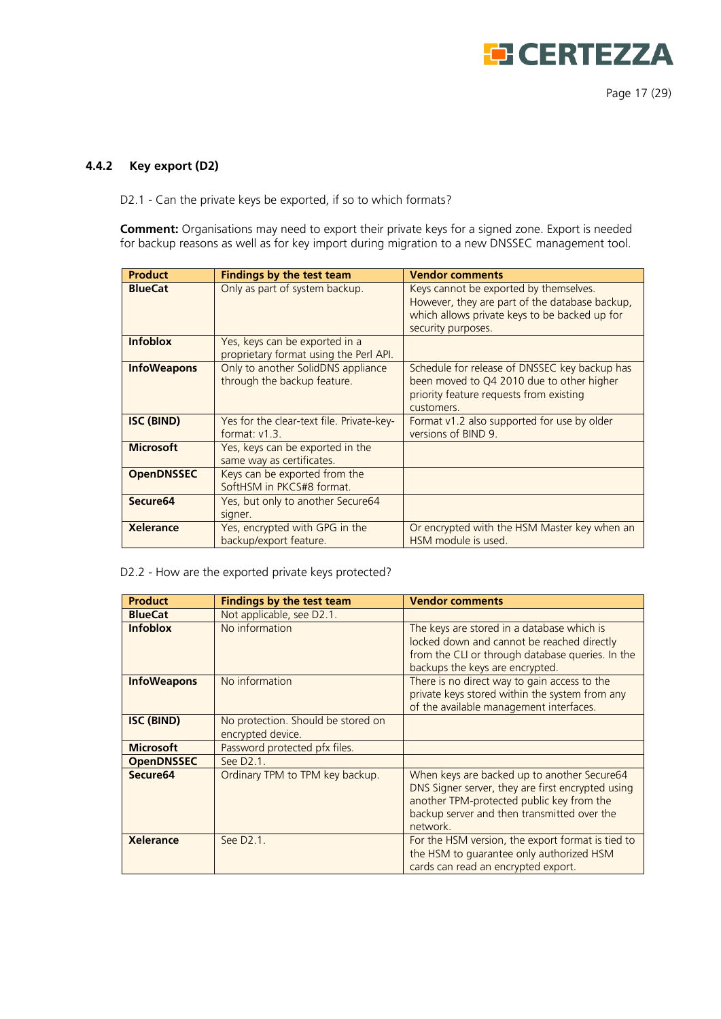

Page 17 (29)

#### <span id="page-16-0"></span>**4.4.2 Key export (D2)**

D2.1 - Can the private keys be exported, if so to which formats?

**Comment:** Organisations may need to export their private keys for a signed zone. Export is needed for backup reasons as well as for key import during migration to a new DNSSEC management tool.

| <b>Product</b>       | <b>Findings by the test team</b>                                         | <b>Vendor comments</b>                                                                                                                                          |
|----------------------|--------------------------------------------------------------------------|-----------------------------------------------------------------------------------------------------------------------------------------------------------------|
| <b>BlueCat</b>       | Only as part of system backup.                                           | Keys cannot be exported by themselves.<br>However, they are part of the database backup,<br>which allows private keys to be backed up for<br>security purposes. |
| <b>Infoblox</b>      | Yes, keys can be exported in a<br>proprietary format using the Perl API. |                                                                                                                                                                 |
| <b>InfoWeapons</b>   | Only to another SolidDNS appliance<br>through the backup feature.        | Schedule for release of DNSSEC key backup has<br>been moved to Q4 2010 due to other higher<br>priority feature requests from existing<br>customers.             |
| <b>ISC (BIND)</b>    | Yes for the clear-text file. Private-key-<br>format: $v1.3$ .            | Format v1.2 also supported for use by older<br>versions of BIND 9.                                                                                              |
| <b>Microsoft</b>     | Yes, keys can be exported in the<br>same way as certificates.            |                                                                                                                                                                 |
| <b>OpenDNSSEC</b>    | Keys can be exported from the<br>SoftHSM in PKCS#8 format.               |                                                                                                                                                                 |
| Secure <sub>64</sub> | Yes, but only to another Secure64<br>signer.                             |                                                                                                                                                                 |
| Xelerance            | Yes, encrypted with GPG in the<br>backup/export feature.                 | Or encrypted with the HSM Master key when an<br>HSM module is used.                                                                                             |

D2.2 - How are the exported private keys protected?

| <b>Product</b>       | <b>Findings by the test team</b>                        | <b>Vendor comments</b>                                                                                                                                                                                   |
|----------------------|---------------------------------------------------------|----------------------------------------------------------------------------------------------------------------------------------------------------------------------------------------------------------|
| <b>BlueCat</b>       | Not applicable, see D2.1.                               |                                                                                                                                                                                                          |
| <b>Infoblox</b>      | No information                                          | The keys are stored in a database which is<br>locked down and cannot be reached directly<br>from the CLI or through database queries. In the<br>backups the keys are encrypted.                          |
| <b>InfoWeapons</b>   | No information                                          | There is no direct way to gain access to the<br>private keys stored within the system from any<br>of the available management interfaces.                                                                |
| <b>ISC (BIND)</b>    | No protection. Should be stored on<br>encrypted device. |                                                                                                                                                                                                          |
| <b>Microsoft</b>     | Password protected pfx files.                           |                                                                                                                                                                                                          |
| <b>OpenDNSSEC</b>    | See D2.1.                                               |                                                                                                                                                                                                          |
| Secure <sub>64</sub> | Ordinary TPM to TPM key backup.                         | When keys are backed up to another Secure64<br>DNS Signer server, they are first encrypted using<br>another TPM-protected public key from the<br>backup server and then transmitted over the<br>network. |
| <b>Xelerance</b>     | See D2.1.                                               | For the HSM version, the export format is tied to<br>the HSM to quarantee only authorized HSM<br>cards can read an encrypted export.                                                                     |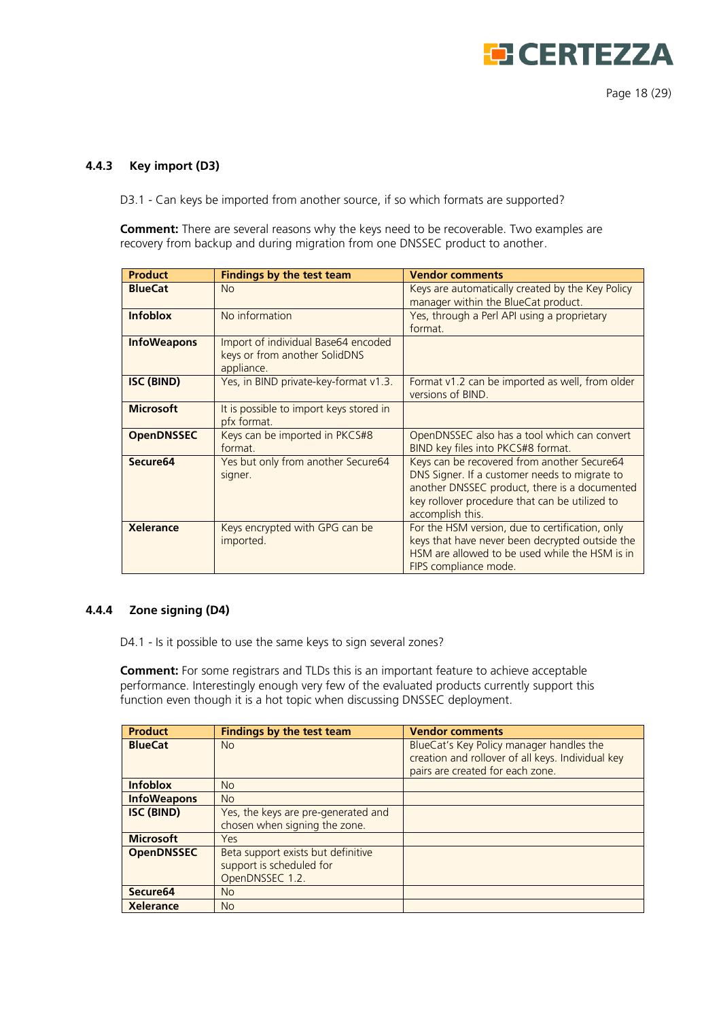

#### <span id="page-17-0"></span>**4.4.3 Key import (D3)**

D3.1 - Can keys be imported from another source, if so which formats are supported?

**Comment:** There are several reasons why the keys need to be recoverable. Two examples are recovery from backup and during migration from one DNSSEC product to another.

| <b>Product</b>       | <b>Findings by the test team</b>                                                   | <b>Vendor comments</b>                                                                                                                                                                                              |
|----------------------|------------------------------------------------------------------------------------|---------------------------------------------------------------------------------------------------------------------------------------------------------------------------------------------------------------------|
| <b>BlueCat</b>       | <b>No</b>                                                                          | Keys are automatically created by the Key Policy<br>manager within the BlueCat product.                                                                                                                             |
| <b>Infoblox</b>      | No information                                                                     | Yes, through a Perl API using a proprietary<br>format.                                                                                                                                                              |
| <b>InfoWeapons</b>   | Import of individual Base64 encoded<br>keys or from another SolidDNS<br>appliance. |                                                                                                                                                                                                                     |
| <b>ISC (BIND)</b>    | Yes, in BIND private-key-format v1.3.                                              | Format v1.2 can be imported as well, from older<br>versions of BIND.                                                                                                                                                |
| <b>Microsoft</b>     | It is possible to import keys stored in<br>pfx format.                             |                                                                                                                                                                                                                     |
| <b>OpenDNSSEC</b>    | Keys can be imported in PKCS#8<br>format.                                          | OpenDNSSEC also has a tool which can convert<br>BIND key files into PKCS#8 format.                                                                                                                                  |
| Secure <sub>64</sub> | Yes but only from another Secure64<br>signer.                                      | Keys can be recovered from another Secure64<br>DNS Signer. If a customer needs to migrate to<br>another DNSSEC product, there is a documented<br>key rollover procedure that can be utilized to<br>accomplish this. |
| <b>Xelerance</b>     | Keys encrypted with GPG can be<br>imported.                                        | For the HSM version, due to certification, only<br>keys that have never been decrypted outside the<br>HSM are allowed to be used while the HSM is in<br>FIPS compliance mode.                                       |

#### <span id="page-17-1"></span>**4.4.4 Zone signing (D4)**

D4.1 - Is it possible to use the same keys to sign several zones?

**Comment:** For some registrars and TLDs this is an important feature to achieve acceptable performance. Interestingly enough very few of the evaluated products currently support this function even though it is a hot topic when discussing DNSSEC deployment.

| <b>Product</b>       | <b>Findings by the test team</b>                                                  | <b>Vendor comments</b>                                                                                                            |
|----------------------|-----------------------------------------------------------------------------------|-----------------------------------------------------------------------------------------------------------------------------------|
| <b>BlueCat</b>       | <b>No</b>                                                                         | BlueCat's Key Policy manager handles the<br>creation and rollover of all keys. Individual key<br>pairs are created for each zone. |
| <b>Infoblox</b>      | No                                                                                |                                                                                                                                   |
| <b>InfoWeapons</b>   | No                                                                                |                                                                                                                                   |
| <b>ISC (BIND)</b>    | Yes, the keys are pre-generated and<br>chosen when signing the zone.              |                                                                                                                                   |
| <b>Microsoft</b>     | Yes                                                                               |                                                                                                                                   |
| <b>OpenDNSSEC</b>    | Beta support exists but definitive<br>support is scheduled for<br>OpenDNSSEC 1.2. |                                                                                                                                   |
| Secure <sub>64</sub> | <b>No</b>                                                                         |                                                                                                                                   |
| <b>Xelerance</b>     | <b>No</b>                                                                         |                                                                                                                                   |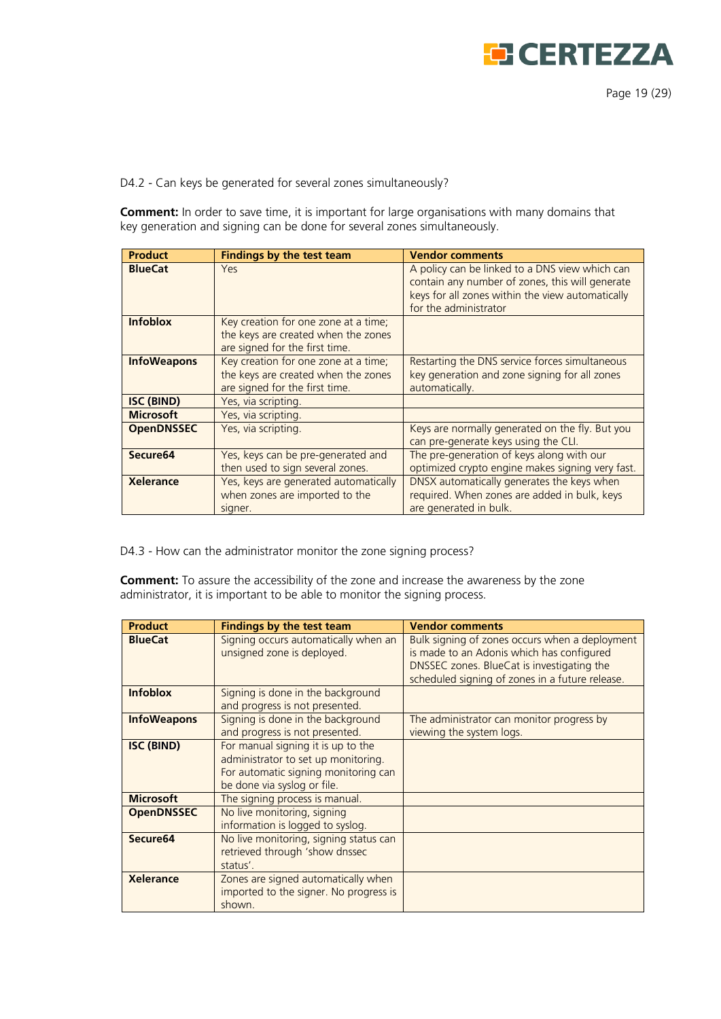

Page 19 (29)

D4.2 - Can keys be generated for several zones simultaneously?

**Comment:** In order to save time, it is important for large organisations with many domains that key generation and signing can be done for several zones simultaneously.

| <b>Product</b>       | Findings by the test team                                                                                     | <b>Vendor comments</b>                                                                                                                                                         |
|----------------------|---------------------------------------------------------------------------------------------------------------|--------------------------------------------------------------------------------------------------------------------------------------------------------------------------------|
| <b>BlueCat</b>       | Yes                                                                                                           | A policy can be linked to a DNS view which can<br>contain any number of zones, this will generate<br>keys for all zones within the view automatically<br>for the administrator |
| <b>Infoblox</b>      | Key creation for one zone at a time;<br>the keys are created when the zones<br>are signed for the first time. |                                                                                                                                                                                |
| <b>InfoWeapons</b>   | Key creation for one zone at a time;<br>the keys are created when the zones<br>are signed for the first time. | Restarting the DNS service forces simultaneous<br>key generation and zone signing for all zones<br>automatically.                                                              |
| <b>ISC (BIND)</b>    | Yes, via scripting.                                                                                           |                                                                                                                                                                                |
| <b>Microsoft</b>     | Yes, via scripting.                                                                                           |                                                                                                                                                                                |
| <b>OpenDNSSEC</b>    | Yes, via scripting.                                                                                           | Keys are normally generated on the fly. But you<br>can pre-generate keys using the CLI.                                                                                        |
| Secure <sub>64</sub> | Yes, keys can be pre-generated and<br>then used to sign several zones.                                        | The pre-generation of keys along with our<br>optimized crypto engine makes signing very fast.                                                                                  |
| Xelerance            | Yes, keys are generated automatically<br>when zones are imported to the<br>signer.                            | DNSX automatically generates the keys when<br>required. When zones are added in bulk, keys<br>are generated in bulk.                                                           |

D4.3 - How can the administrator monitor the zone signing process?

**Comment:** To assure the accessibility of the zone and increase the awareness by the zone administrator, it is important to be able to monitor the signing process.

| <b>Product</b>       | <b>Findings by the test team</b>                                                                                                                 | <b>Vendor comments</b>                                                                                                                                                                       |
|----------------------|--------------------------------------------------------------------------------------------------------------------------------------------------|----------------------------------------------------------------------------------------------------------------------------------------------------------------------------------------------|
| <b>BlueCat</b>       | Signing occurs automatically when an<br>unsigned zone is deployed.                                                                               | Bulk signing of zones occurs when a deployment<br>is made to an Adonis which has configured<br>DNSSEC zones. BlueCat is investigating the<br>scheduled signing of zones in a future release. |
| <b>Infoblox</b>      | Signing is done in the background<br>and progress is not presented.                                                                              |                                                                                                                                                                                              |
| <b>InfoWeapons</b>   | Signing is done in the background<br>and progress is not presented.                                                                              | The administrator can monitor progress by<br>viewing the system logs.                                                                                                                        |
| <b>ISC (BIND)</b>    | For manual signing it is up to the<br>administrator to set up monitoring.<br>For automatic signing monitoring can<br>be done via syslog or file. |                                                                                                                                                                                              |
| <b>Microsoft</b>     | The signing process is manual.                                                                                                                   |                                                                                                                                                                                              |
| <b>OpenDNSSEC</b>    | No live monitoring, signing<br>information is logged to syslog.                                                                                  |                                                                                                                                                                                              |
| Secure <sub>64</sub> | No live monitoring, signing status can<br>retrieved through 'show dnssec<br>status'.                                                             |                                                                                                                                                                                              |
| <b>Xelerance</b>     | Zones are signed automatically when<br>imported to the signer. No progress is<br>shown.                                                          |                                                                                                                                                                                              |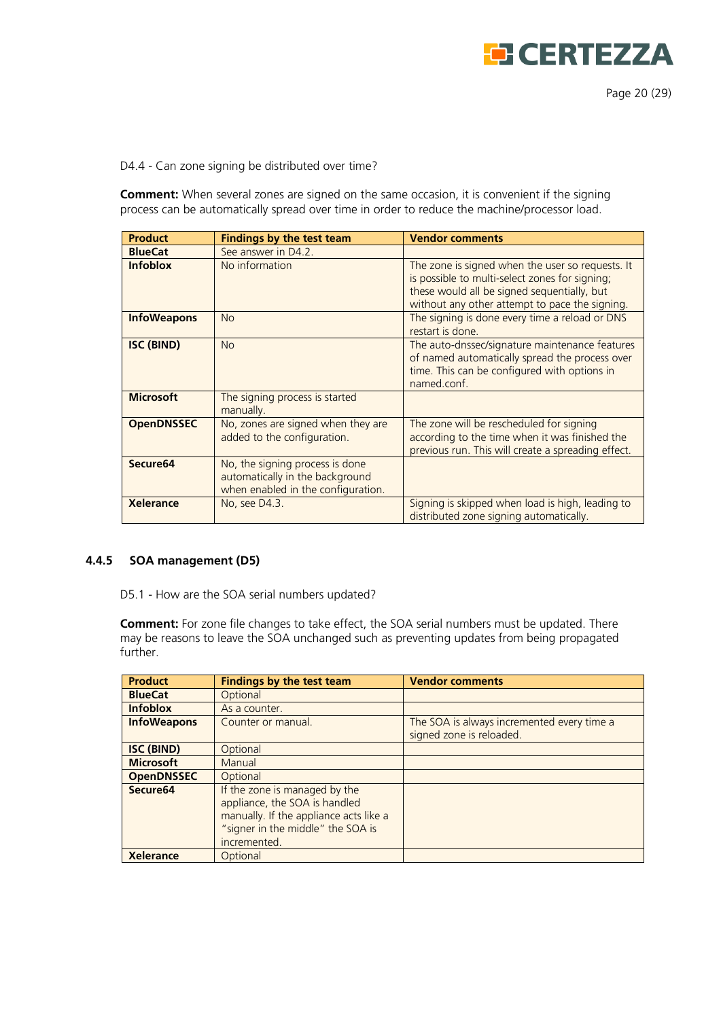

D4.4 - Can zone signing be distributed over time?

**Comment:** When several zones are signed on the same occasion, it is convenient if the signing process can be automatically spread over time in order to reduce the machine/processor load.

| <b>Product</b>       | <b>Findings by the test team</b>                                                                         | <b>Vendor comments</b>                                                                                                                                                                              |
|----------------------|----------------------------------------------------------------------------------------------------------|-----------------------------------------------------------------------------------------------------------------------------------------------------------------------------------------------------|
| <b>BlueCat</b>       | See answer in D4.2.                                                                                      |                                                                                                                                                                                                     |
| <b>Infoblox</b>      | No information                                                                                           | The zone is signed when the user so requests. It<br>is possible to multi-select zones for signing;<br>these would all be signed sequentially, but<br>without any other attempt to pace the signing. |
| <b>InfoWeapons</b>   | No                                                                                                       | The signing is done every time a reload or DNS<br>restart is done.                                                                                                                                  |
| <b>ISC (BIND)</b>    | No                                                                                                       | The auto-dnssec/signature maintenance features<br>of named automatically spread the process over<br>time. This can be configured with options in<br>named.conf.                                     |
| <b>Microsoft</b>     | The signing process is started<br>manually.                                                              |                                                                                                                                                                                                     |
| <b>OpenDNSSEC</b>    | No, zones are signed when they are<br>added to the configuration.                                        | The zone will be rescheduled for signing<br>according to the time when it was finished the<br>previous run. This will create a spreading effect.                                                    |
| Secure <sub>64</sub> | No, the signing process is done<br>automatically in the background<br>when enabled in the configuration. |                                                                                                                                                                                                     |
| <b>Xelerance</b>     | No, see D4.3.                                                                                            | Signing is skipped when load is high, leading to<br>distributed zone signing automatically.                                                                                                         |

#### <span id="page-19-0"></span>**4.4.5 SOA management (D5)**

D5.1 - How are the SOA serial numbers updated?

**Comment:** For zone file changes to take effect, the SOA serial numbers must be updated. There may be reasons to leave the SOA unchanged such as preventing updates from being propagated further.

| <b>Product</b>       | <b>Findings by the test team</b>                                                                                                                              | <b>Vendor comments</b>                                                 |
|----------------------|---------------------------------------------------------------------------------------------------------------------------------------------------------------|------------------------------------------------------------------------|
| <b>BlueCat</b>       | Optional                                                                                                                                                      |                                                                        |
| <b>Infoblox</b>      | As a counter.                                                                                                                                                 |                                                                        |
| <b>InfoWeapons</b>   | Counter or manual.                                                                                                                                            | The SOA is always incremented every time a<br>signed zone is reloaded. |
| <b>ISC (BIND)</b>    | Optional                                                                                                                                                      |                                                                        |
| <b>Microsoft</b>     | Manual                                                                                                                                                        |                                                                        |
| <b>OpenDNSSEC</b>    | Optional                                                                                                                                                      |                                                                        |
| Secure <sub>64</sub> | If the zone is managed by the<br>appliance, the SOA is handled<br>manually. If the appliance acts like a<br>"signer in the middle" the SOA is<br>incremented. |                                                                        |
| <b>Xelerance</b>     | Optional                                                                                                                                                      |                                                                        |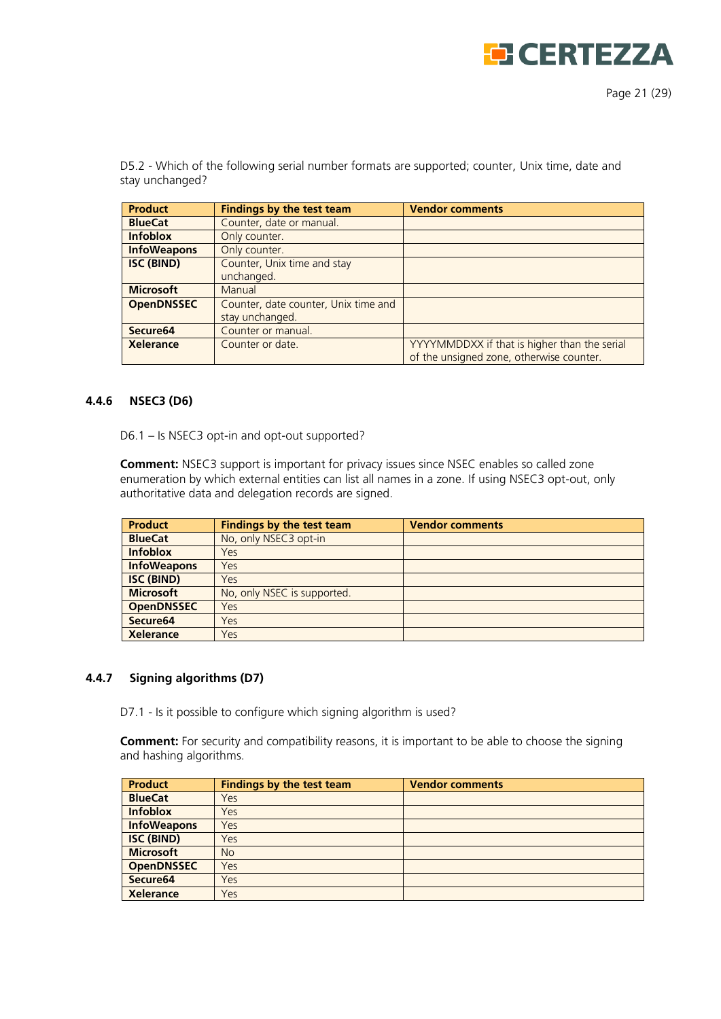

D5.2 - Which of the following serial number formats are supported; counter, Unix time, date and stay unchanged?

| <b>Product</b>       | <b>Findings by the test team</b>     | <b>Vendor comments</b>                       |
|----------------------|--------------------------------------|----------------------------------------------|
| <b>BlueCat</b>       | Counter, date or manual.             |                                              |
| <b>Infoblox</b>      | Only counter.                        |                                              |
| <b>InfoWeapons</b>   | Only counter.                        |                                              |
| <b>ISC (BIND)</b>    | Counter, Unix time and stay          |                                              |
|                      | unchanged.                           |                                              |
| <b>Microsoft</b>     | Manual                               |                                              |
| <b>OpenDNSSEC</b>    | Counter, date counter, Unix time and |                                              |
|                      | stay unchanged.                      |                                              |
| Secure <sub>64</sub> | Counter or manual.                   |                                              |
| <b>Xelerance</b>     | Counter or date.                     | YYYYMMDDXX if that is higher than the serial |
|                      |                                      | of the unsigned zone, otherwise counter.     |

#### <span id="page-20-0"></span>**4.4.6 NSEC3 (D6)**

D6.1 – Is NSEC3 opt-in and opt-out supported?

**Comment:** NSEC3 support is important for privacy issues since NSEC enables so called zone enumeration by which external entities can list all names in a zone. If using NSEC3 opt-out, only authoritative data and delegation records are signed.

| <b>Product</b>       | Findings by the test team   | <b>Vendor comments</b> |
|----------------------|-----------------------------|------------------------|
| <b>BlueCat</b>       | No, only NSEC3 opt-in       |                        |
| <b>Infoblox</b>      | Yes                         |                        |
| <b>InfoWeapons</b>   | Yes                         |                        |
| <b>ISC (BIND)</b>    | Yes                         |                        |
| <b>Microsoft</b>     | No, only NSEC is supported. |                        |
| <b>OpenDNSSEC</b>    | Yes                         |                        |
| Secure <sub>64</sub> | Yes                         |                        |
| <b>Xelerance</b>     | Yes                         |                        |

#### <span id="page-20-1"></span>**4.4.7 Signing algorithms (D7)**

D7.1 - Is it possible to configure which signing algorithm is used?

**Comment:** For security and compatibility reasons, it is important to be able to choose the signing and hashing algorithms.

| <b>Product</b>       | <b>Findings by the test team</b> | <b>Vendor comments</b> |
|----------------------|----------------------------------|------------------------|
| <b>BlueCat</b>       | Yes                              |                        |
| <b>Infoblox</b>      | Yes                              |                        |
| <b>InfoWeapons</b>   | Yes                              |                        |
| <b>ISC (BIND)</b>    | Yes                              |                        |
| <b>Microsoft</b>     | <b>No</b>                        |                        |
| <b>OpenDNSSEC</b>    | Yes                              |                        |
| Secure <sub>64</sub> | Yes                              |                        |
| <b>Xelerance</b>     | Yes                              |                        |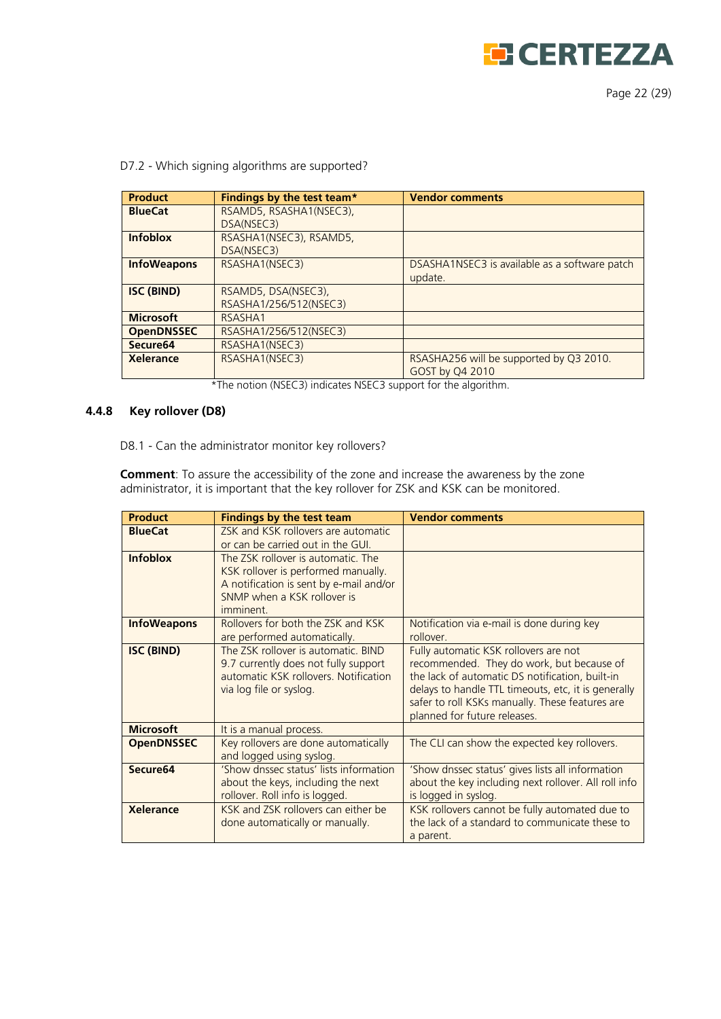

Page 22 (29)

| <b>Product</b>       | Findings by the test team* | <b>Vendor comments</b>                        |
|----------------------|----------------------------|-----------------------------------------------|
| <b>BlueCat</b>       | RSAMD5, RSASHA1(NSEC3),    |                                               |
|                      | DSA(NSEC3)                 |                                               |
| <b>Infoblox</b>      | RSASHA1(NSEC3), RSAMD5,    |                                               |
|                      | DSA(NSEC3)                 |                                               |
| <b>InfoWeapons</b>   | RSASHA1(NSEC3)             | DSASHA1NSEC3 is available as a software patch |
|                      |                            | update.                                       |
| <b>ISC (BIND)</b>    | RSAMD5, DSA(NSEC3),        |                                               |
|                      | RSASHA1/256/512(NSEC3)     |                                               |
| <b>Microsoft</b>     | RSASHA1                    |                                               |
| <b>OpenDNSSEC</b>    | RSASHA1/256/512(NSEC3)     |                                               |
| Secure <sub>64</sub> | RSASHA1(NSEC3)             |                                               |
| Xelerance            | RSASHA1(NSEC3)             | RSASHA256 will be supported by Q3 2010.       |
|                      |                            | GOST by Q4 2010                               |

#### D7.2 - Which signing algorithms are supported?

\*The notion (NSEC3) indicates NSEC3 support for the algorithm.

#### <span id="page-21-0"></span>**4.4.8 Key rollover (D8)**

D8.1 - Can the administrator monitor key rollovers?

**Comment**: To assure the accessibility of the zone and increase the awareness by the zone administrator, it is important that the key rollover for ZSK and KSK can be monitored.

| <b>Product</b>       | <b>Findings by the test team</b>                                                                                                                                 | <b>Vendor comments</b>                                                                                                                                                                                                                                                          |
|----------------------|------------------------------------------------------------------------------------------------------------------------------------------------------------------|---------------------------------------------------------------------------------------------------------------------------------------------------------------------------------------------------------------------------------------------------------------------------------|
| <b>BlueCat</b>       | ZSK and KSK rollovers are automatic.<br>or can be carried out in the GUI.                                                                                        |                                                                                                                                                                                                                                                                                 |
| <b>Infoblox</b>      | The ZSK rollover is automatic. The<br>KSK rollover is performed manually.<br>A notification is sent by e-mail and/or<br>SNMP when a KSK rollover is<br>imminent. |                                                                                                                                                                                                                                                                                 |
| <b>InfoWeapons</b>   | Rollovers for both the ZSK and KSK<br>are performed automatically.                                                                                               | Notification via e-mail is done during key<br>rollover                                                                                                                                                                                                                          |
| <b>ISC (BIND)</b>    | The ZSK rollover is automatic. BIND<br>9.7 currently does not fully support<br>automatic KSK rollovers. Notification<br>via log file or syslog.                  | Fully automatic KSK rollovers are not<br>recommended. They do work, but because of<br>the lack of automatic DS notification, built-in<br>delays to handle TTL timeouts, etc, it is generally<br>safer to roll KSKs manually. These features are<br>planned for future releases. |
| <b>Microsoft</b>     | It is a manual process.                                                                                                                                          |                                                                                                                                                                                                                                                                                 |
| <b>OpenDNSSEC</b>    | Key rollovers are done automatically<br>and logged using syslog.                                                                                                 | The CLI can show the expected key rollovers.                                                                                                                                                                                                                                    |
| Secure <sub>64</sub> | 'Show dnssec status' lists information<br>about the keys, including the next<br>rollover. Roll info is logged.                                                   | 'Show dnssec status' gives lists all information<br>about the key including next rollover. All roll info<br>is logged in syslog.                                                                                                                                                |
| <b>Xelerance</b>     | KSK and ZSK rollovers can either be<br>done automatically or manually.                                                                                           | KSK rollovers cannot be fully automated due to<br>the lack of a standard to communicate these to<br>a parent.                                                                                                                                                                   |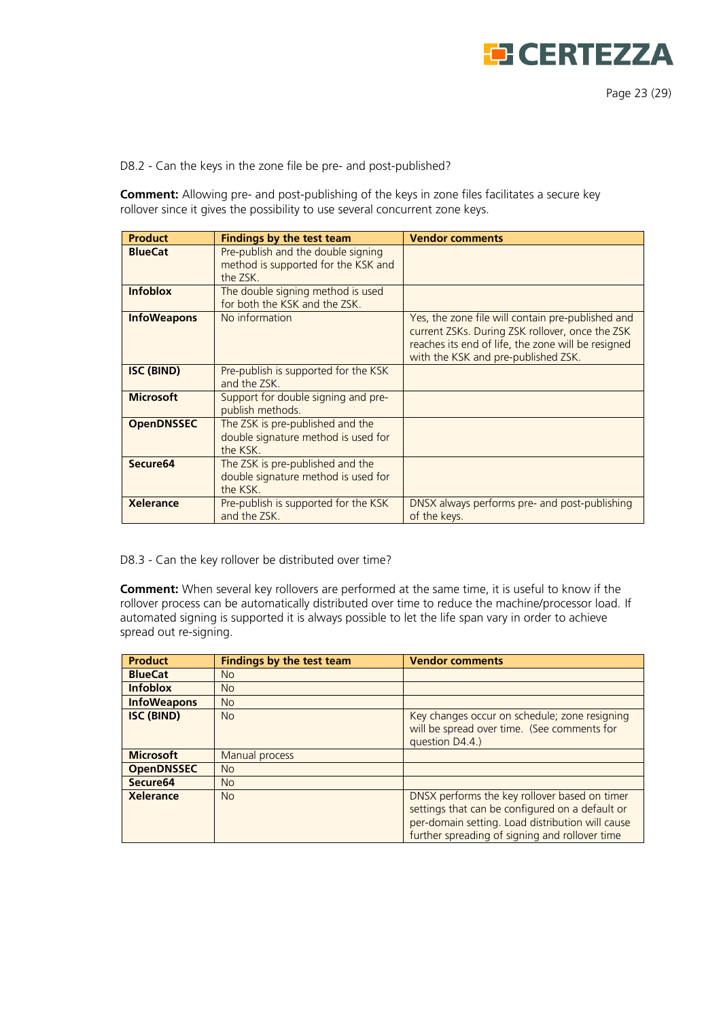

D8.2 - Can the keys in the zone file be pre- and post-published?

**Comment:** Allowing pre- and post-publishing of the keys in zone files facilitates a secure key rollover since it gives the possibility to use several concurrent zone keys.

| <b>Product</b>       | <b>Findings by the test team</b>                                                      | <b>Vendor comments</b>                                                                                                                                                                            |
|----------------------|---------------------------------------------------------------------------------------|---------------------------------------------------------------------------------------------------------------------------------------------------------------------------------------------------|
| <b>BlueCat</b>       | Pre-publish and the double signing<br>method is supported for the KSK and<br>the ZSK. |                                                                                                                                                                                                   |
| <b>Infoblox</b>      | The double signing method is used<br>for both the KSK and the ZSK.                    |                                                                                                                                                                                                   |
| <b>InfoWeapons</b>   | No information                                                                        | Yes, the zone file will contain pre-published and<br>current ZSKs. During ZSK rollover, once the ZSK<br>reaches its end of life, the zone will be resigned<br>with the KSK and pre-published ZSK. |
| <b>ISC (BIND)</b>    | Pre-publish is supported for the KSK<br>and the ZSK.                                  |                                                                                                                                                                                                   |
| <b>Microsoft</b>     | Support for double signing and pre-<br>publish methods.                               |                                                                                                                                                                                                   |
| <b>OpenDNSSEC</b>    | The ZSK is pre-published and the<br>double signature method is used for<br>the KSK.   |                                                                                                                                                                                                   |
| Secure <sub>64</sub> | The ZSK is pre-published and the<br>double signature method is used for<br>the KSK.   |                                                                                                                                                                                                   |
| <b>Xelerance</b>     | Pre-publish is supported for the KSK<br>and the ZSK.                                  | DNSX always performs pre- and post-publishing<br>of the keys.                                                                                                                                     |

D8.3 - Can the key rollover be distributed over time?

**Comment:** When several key rollovers are performed at the same time, it is useful to know if the rollover process can be automatically distributed over time to reduce the machine/processor load. If automated signing is supported it is always possible to let the life span vary in order to achieve spread out re-signing.

| <b>Product</b>       | <b>Findings by the test team</b> | <b>Vendor comments</b>                                                                                                                                                                                 |
|----------------------|----------------------------------|--------------------------------------------------------------------------------------------------------------------------------------------------------------------------------------------------------|
| <b>BlueCat</b>       | <b>No</b>                        |                                                                                                                                                                                                        |
| <b>Infoblox</b>      | No                               |                                                                                                                                                                                                        |
| <b>InfoWeapons</b>   | <b>No</b>                        |                                                                                                                                                                                                        |
| <b>ISC (BIND)</b>    | <b>No</b>                        | Key changes occur on schedule; zone resigning<br>will be spread over time. (See comments for<br>question D4.4.)                                                                                        |
| <b>Microsoft</b>     | Manual process                   |                                                                                                                                                                                                        |
| <b>OpenDNSSEC</b>    | <b>No</b>                        |                                                                                                                                                                                                        |
| Secure <sub>64</sub> | <b>No</b>                        |                                                                                                                                                                                                        |
| Xelerance            | No                               | DNSX performs the key rollover based on timer<br>settings that can be configured on a default or<br>per-domain setting. Load distribution will cause<br>further spreading of signing and rollover time |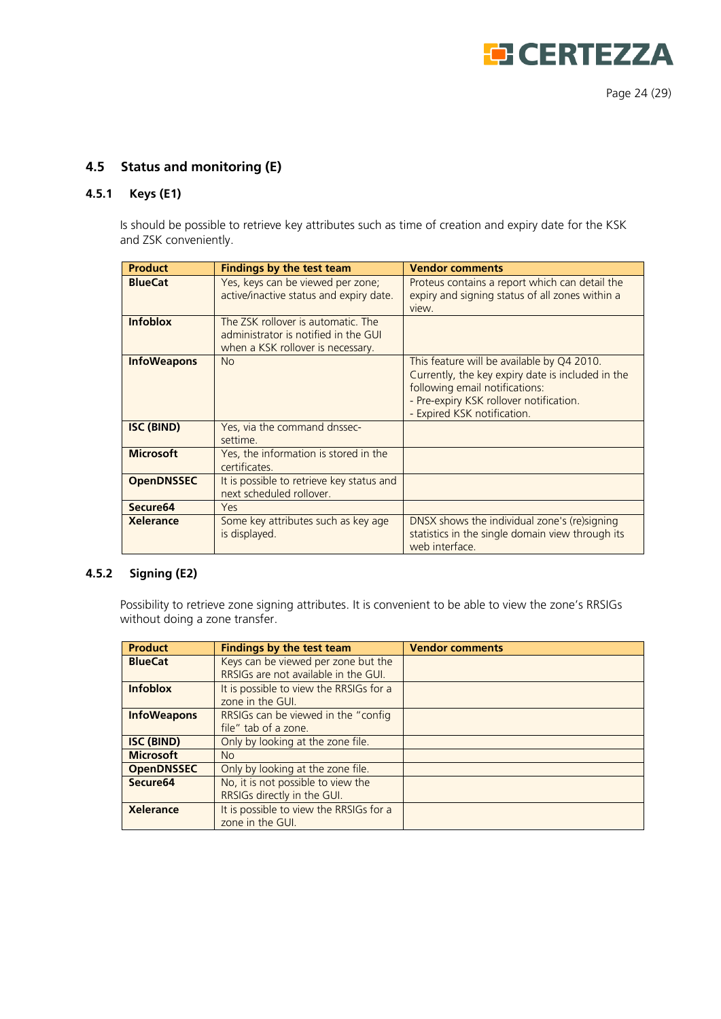

# <span id="page-23-0"></span>**4.5 Status and monitoring (E)**

#### <span id="page-23-1"></span>**4.5.1 Keys (E1)**

Is should be possible to retrieve key attributes such as time of creation and expiry date for the KSK and ZSK conveniently.

| <b>Product</b>       | <b>Findings by the test team</b>                                                                                | <b>Vendor comments</b>                                                                                                                                                                                      |
|----------------------|-----------------------------------------------------------------------------------------------------------------|-------------------------------------------------------------------------------------------------------------------------------------------------------------------------------------------------------------|
| <b>BlueCat</b>       | Yes, keys can be viewed per zone;<br>active/inactive status and expiry date.                                    | Proteus contains a report which can detail the<br>expiry and signing status of all zones within a<br>view.                                                                                                  |
| <b>Infoblox</b>      | The ZSK rollover is automatic. The<br>administrator is notified in the GUI<br>when a KSK rollover is necessary. |                                                                                                                                                                                                             |
| <b>InfoWeapons</b>   | <b>No</b>                                                                                                       | This feature will be available by Q4 2010.<br>Currently, the key expiry date is included in the<br>following email notifications:<br>- Pre-expiry KSK rollover notification.<br>- Expired KSK notification. |
| ISC (BIND)           | Yes, via the command dnssec-<br>settime.                                                                        |                                                                                                                                                                                                             |
| <b>Microsoft</b>     | Yes, the information is stored in the<br>certificates.                                                          |                                                                                                                                                                                                             |
| <b>OpenDNSSEC</b>    | It is possible to retrieve key status and<br>next scheduled rollover.                                           |                                                                                                                                                                                                             |
| Secure <sub>64</sub> | Yes                                                                                                             |                                                                                                                                                                                                             |
| <b>Xelerance</b>     | Some key attributes such as key age<br>is displayed.                                                            | DNSX shows the individual zone's (re)signing<br>statistics in the single domain view through its<br>web interface.                                                                                          |

## <span id="page-23-2"></span>**4.5.2 Signing (E2)**

Possibility to retrieve zone signing attributes. It is convenient to be able to view the zone's RRSIGs without doing a zone transfer.

| <b>Product</b>       | <b>Findings by the test team</b>        | <b>Vendor comments</b> |
|----------------------|-----------------------------------------|------------------------|
| <b>BlueCat</b>       | Keys can be viewed per zone but the     |                        |
|                      | RRSIGs are not available in the GUI.    |                        |
| <b>Infoblox</b>      | It is possible to view the RRSIGs for a |                        |
|                      | zone in the GUI.                        |                        |
| <b>InfoWeapons</b>   | RRSIGs can be viewed in the "config"    |                        |
|                      | file" tab of a zone.                    |                        |
| <b>ISC (BIND)</b>    | Only by looking at the zone file.       |                        |
| <b>Microsoft</b>     | N <sub>o</sub>                          |                        |
| <b>OpenDNSSEC</b>    | Only by looking at the zone file.       |                        |
| Secure <sub>64</sub> | No, it is not possible to view the      |                        |
|                      | RRSIGs directly in the GUI.             |                        |
| <b>Xelerance</b>     | It is possible to view the RRSIGs for a |                        |
|                      | zone in the GUI.                        |                        |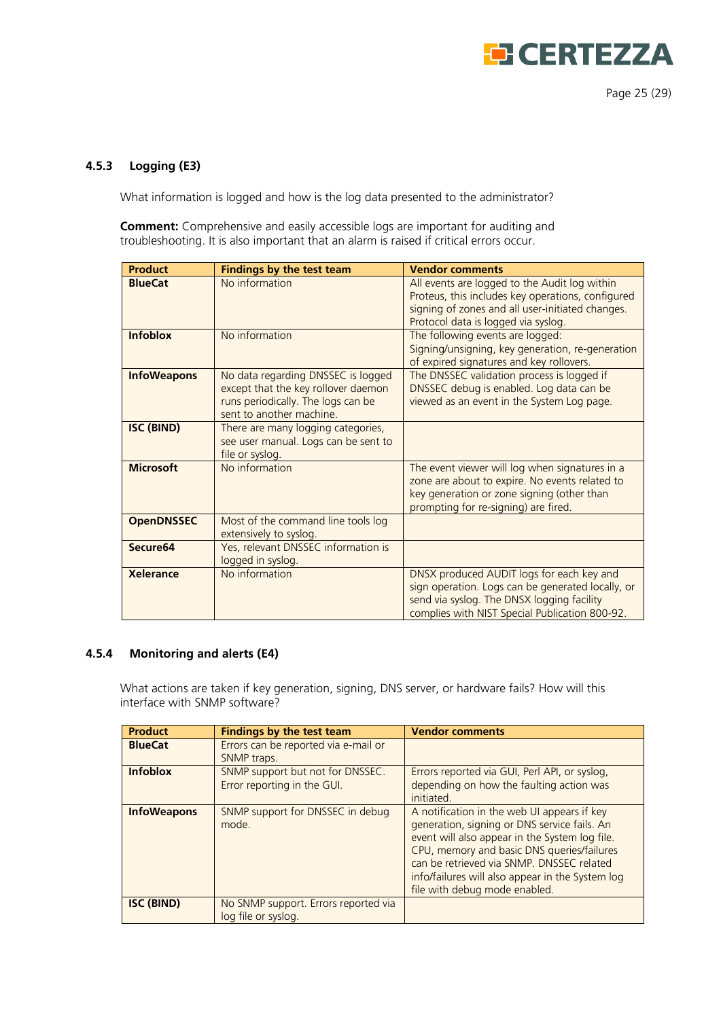

### <span id="page-24-0"></span>**4.5.3 Logging (E3)**

What information is logged and how is the log data presented to the administrator?

**Comment:** Comprehensive and easily accessible logs are important for auditing and troubleshooting. It is also important that an alarm is raised if critical errors occur.

| <b>Product</b>     | <b>Findings by the test team</b>                                                                                                            | <b>Vendor comments</b>                                                                                                                                                                         |
|--------------------|---------------------------------------------------------------------------------------------------------------------------------------------|------------------------------------------------------------------------------------------------------------------------------------------------------------------------------------------------|
| <b>BlueCat</b>     | No information                                                                                                                              | All events are logged to the Audit log within<br>Proteus, this includes key operations, configured<br>signing of zones and all user-initiated changes.<br>Protocol data is logged via syslog.  |
| <b>Infoblox</b>    | No information                                                                                                                              | The following events are logged:<br>Signing/unsigning, key generation, re-generation<br>of expired signatures and key rollovers.                                                               |
| <b>InfoWeapons</b> | No data regarding DNSSEC is logged<br>except that the key rollover daemon<br>runs periodically. The logs can be<br>sent to another machine. | The DNSSEC validation process is logged if<br>DNSSEC debug is enabled. Log data can be<br>viewed as an event in the System Log page.                                                           |
| <b>ISC (BIND)</b>  | There are many logging categories,<br>see user manual. Logs can be sent to<br>file or syslog.                                               |                                                                                                                                                                                                |
| <b>Microsoft</b>   | No information                                                                                                                              | The event viewer will log when signatures in a<br>zone are about to expire. No events related to<br>key generation or zone signing (other than<br>prompting for re-signing) are fired.         |
| <b>OpenDNSSEC</b>  | Most of the command line tools log<br>extensively to syslog.                                                                                |                                                                                                                                                                                                |
| Secure64           | Yes, relevant DNSSEC information is<br>logged in syslog.                                                                                    |                                                                                                                                                                                                |
| <b>Xelerance</b>   | No information                                                                                                                              | DNSX produced AUDIT logs for each key and<br>sign operation. Logs can be generated locally, or<br>send via syslog. The DNSX logging facility<br>complies with NIST Special Publication 800-92. |

#### <span id="page-24-1"></span>**4.5.4 Monitoring and alerts (E4)**

What actions are taken if key generation, signing, DNS server, or hardware fails? How will this interface with SNMP software?

| <b>Product</b>     | <b>Findings by the test team</b>                                | <b>Vendor comments</b>                                                                                                                                                                                                                                                                                                        |
|--------------------|-----------------------------------------------------------------|-------------------------------------------------------------------------------------------------------------------------------------------------------------------------------------------------------------------------------------------------------------------------------------------------------------------------------|
| <b>BlueCat</b>     | Errors can be reported via e-mail or<br>SNMP traps.             |                                                                                                                                                                                                                                                                                                                               |
| <b>Infoblox</b>    | SNMP support but not for DNSSEC.<br>Error reporting in the GUI. | Errors reported via GUI, Perl API, or syslog,<br>depending on how the faulting action was<br>initiated.                                                                                                                                                                                                                       |
| <b>InfoWeapons</b> | SNMP support for DNSSEC in debug<br>mode.                       | A notification in the web UI appears if key<br>generation, signing or DNS service fails. An<br>event will also appear in the System log file.<br>CPU, memory and basic DNS queries/failures<br>can be retrieved via SNMP. DNSSEC related<br>info/failures will also appear in the System log<br>file with debug mode enabled. |
| <b>ISC (BIND)</b>  | No SNMP support. Errors reported via<br>log file or syslog.     |                                                                                                                                                                                                                                                                                                                               |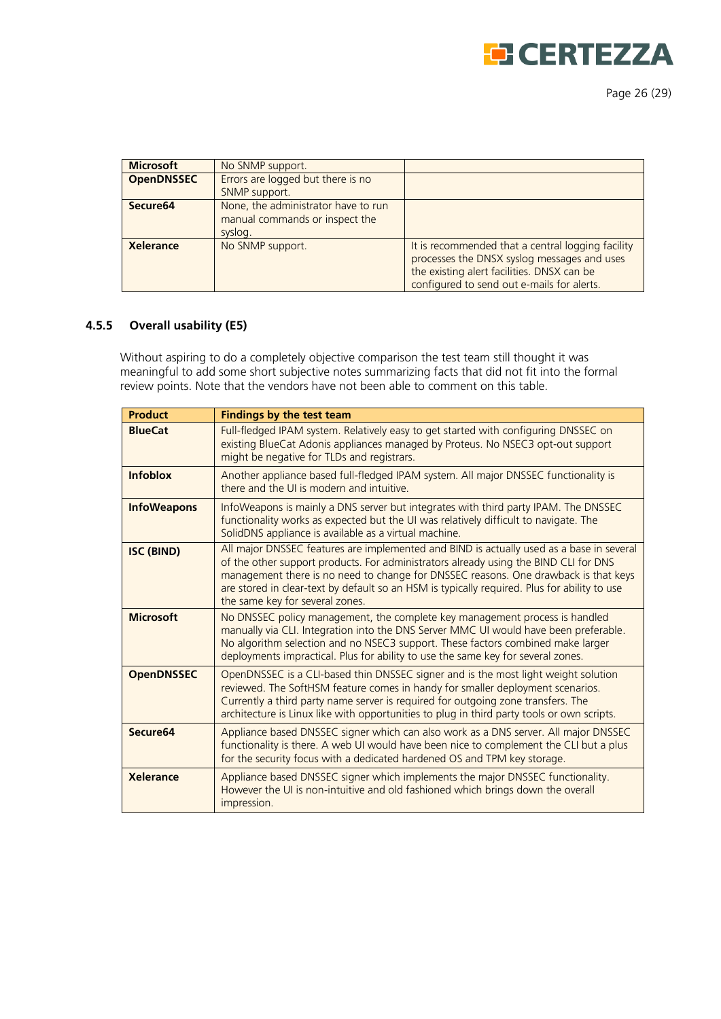

Page 26 (29)

| <b>Microsoft</b>     | No SNMP support.                                                                 |                                                                                                                                                                                              |
|----------------------|----------------------------------------------------------------------------------|----------------------------------------------------------------------------------------------------------------------------------------------------------------------------------------------|
| <b>OpenDNSSEC</b>    | Errors are logged but there is no<br>SNMP support.                               |                                                                                                                                                                                              |
| Secure <sub>64</sub> | None, the administrator have to run<br>manual commands or inspect the<br>syslog. |                                                                                                                                                                                              |
| <b>Xelerance</b>     | No SNMP support.                                                                 | It is recommended that a central logging facility<br>processes the DNSX syslog messages and uses<br>the existing alert facilities. DNSX can be<br>configured to send out e-mails for alerts. |

#### <span id="page-25-0"></span>**4.5.5 Overall usability (E5)**

Without aspiring to do a completely objective comparison the test team still thought it was meaningful to add some short subjective notes summarizing facts that did not fit into the formal review points. Note that the vendors have not been able to comment on this table.

| <b>Product</b>       | <b>Findings by the test team</b>                                                                                                                                                                                                                                                                                                                                                                           |
|----------------------|------------------------------------------------------------------------------------------------------------------------------------------------------------------------------------------------------------------------------------------------------------------------------------------------------------------------------------------------------------------------------------------------------------|
| <b>BlueCat</b>       | Full-fledged IPAM system. Relatively easy to get started with configuring DNSSEC on<br>existing BlueCat Adonis appliances managed by Proteus. No NSEC3 opt-out support<br>might be negative for TLDs and registrars.                                                                                                                                                                                       |
| <b>Infoblox</b>      | Another appliance based full-fledged IPAM system. All major DNSSEC functionality is<br>there and the UI is modern and intuitive.                                                                                                                                                                                                                                                                           |
| <b>InfoWeapons</b>   | InfoWeapons is mainly a DNS server but integrates with third party IPAM. The DNSSEC<br>functionality works as expected but the UI was relatively difficult to navigate. The<br>SolidDNS appliance is available as a virtual machine.                                                                                                                                                                       |
| <b>ISC (BIND)</b>    | All major DNSSEC features are implemented and BIND is actually used as a base in several<br>of the other support products. For administrators already using the BIND CLI for DNS<br>management there is no need to change for DNSSEC reasons. One drawback is that keys<br>are stored in clear-text by default so an HSM is typically required. Plus for ability to use<br>the same key for several zones. |
| <b>Microsoft</b>     | No DNSSEC policy management, the complete key management process is handled<br>manually via CLI. Integration into the DNS Server MMC UI would have been preferable.<br>No algorithm selection and no NSEC3 support. These factors combined make larger<br>deployments impractical. Plus for ability to use the same key for several zones.                                                                 |
| <b>OpenDNSSEC</b>    | OpenDNSSEC is a CLI-based thin DNSSEC signer and is the most light weight solution<br>reviewed. The SoftHSM feature comes in handy for smaller deployment scenarios.<br>Currently a third party name server is required for outgoing zone transfers. The<br>architecture is Linux like with opportunities to plug in third party tools or own scripts.                                                     |
| Secure <sub>64</sub> | Appliance based DNSSEC signer which can also work as a DNS server. All major DNSSEC<br>functionality is there. A web UI would have been nice to complement the CLI but a plus<br>for the security focus with a dedicated hardened OS and TPM key storage.                                                                                                                                                  |
| <b>Xelerance</b>     | Appliance based DNSSEC signer which implements the major DNSSEC functionality.<br>However the UI is non-intuitive and old fashioned which brings down the overall<br>impression.                                                                                                                                                                                                                           |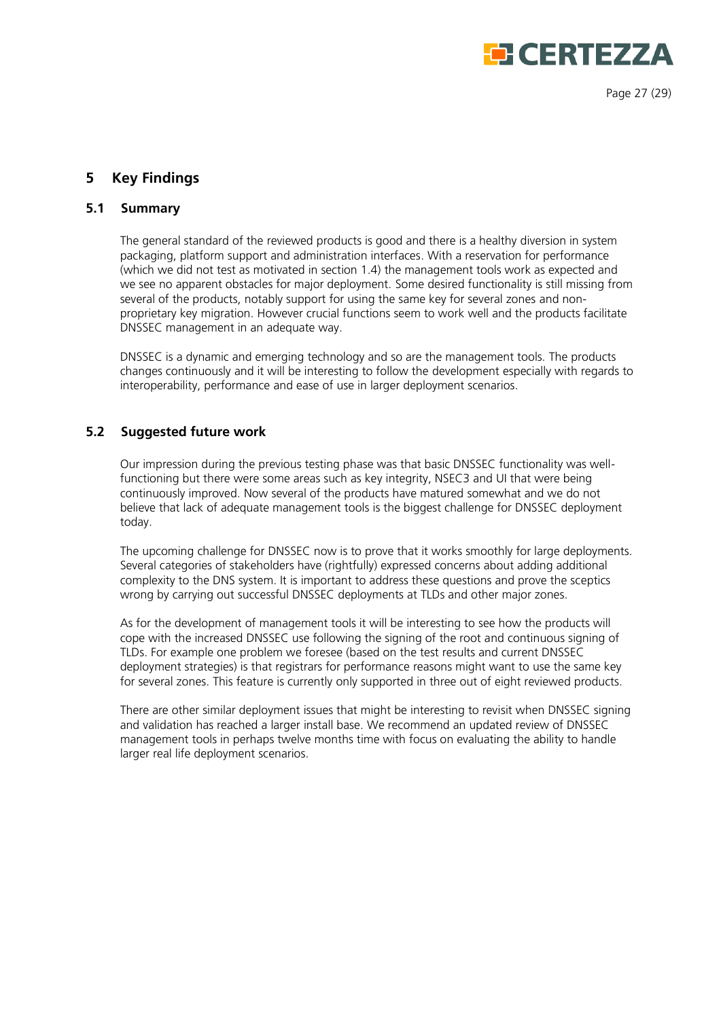

Page 27 (29)

# <span id="page-26-0"></span>**5 Key Findings**

## <span id="page-26-1"></span>**5.1 Summary**

The general standard of the reviewed products is good and there is a healthy diversion in system packaging, platform support and administration interfaces. With a reservation for performance (which we did not test as motivated in section 1.4) the management tools work as expected and we see no apparent obstacles for major deployment. Some desired functionality is still missing from several of the products, notably support for using the same key for several zones and nonproprietary key migration. However crucial functions seem to work well and the products facilitate DNSSEC management in an adequate way.

DNSSEC is a dynamic and emerging technology and so are the management tools. The products changes continuously and it will be interesting to follow the development especially with regards to interoperability, performance and ease of use in larger deployment scenarios.

## <span id="page-26-2"></span>**5.2 Suggested future work**

Our impression during the previous testing phase was that basic DNSSEC functionality was wellfunctioning but there were some areas such as key integrity, NSEC3 and UI that were being continuously improved. Now several of the products have matured somewhat and we do not believe that lack of adequate management tools is the biggest challenge for DNSSEC deployment today.

The upcoming challenge for DNSSEC now is to prove that it works smoothly for large deployments. Several categories of stakeholders have (rightfully) expressed concerns about adding additional complexity to the DNS system. It is important to address these questions and prove the sceptics wrong by carrying out successful DNSSEC deployments at TLDs and other major zones.

As for the development of management tools it will be interesting to see how the products will cope with the increased DNSSEC use following the signing of the root and continuous signing of TLDs. For example one problem we foresee (based on the test results and current DNSSEC deployment strategies) is that registrars for performance reasons might want to use the same key for several zones. This feature is currently only supported in three out of eight reviewed products.

There are other similar deployment issues that might be interesting to revisit when DNSSEC signing and validation has reached a larger install base. We recommend an updated review of DNSSEC management tools in perhaps twelve months time with focus on evaluating the ability to handle larger real life deployment scenarios.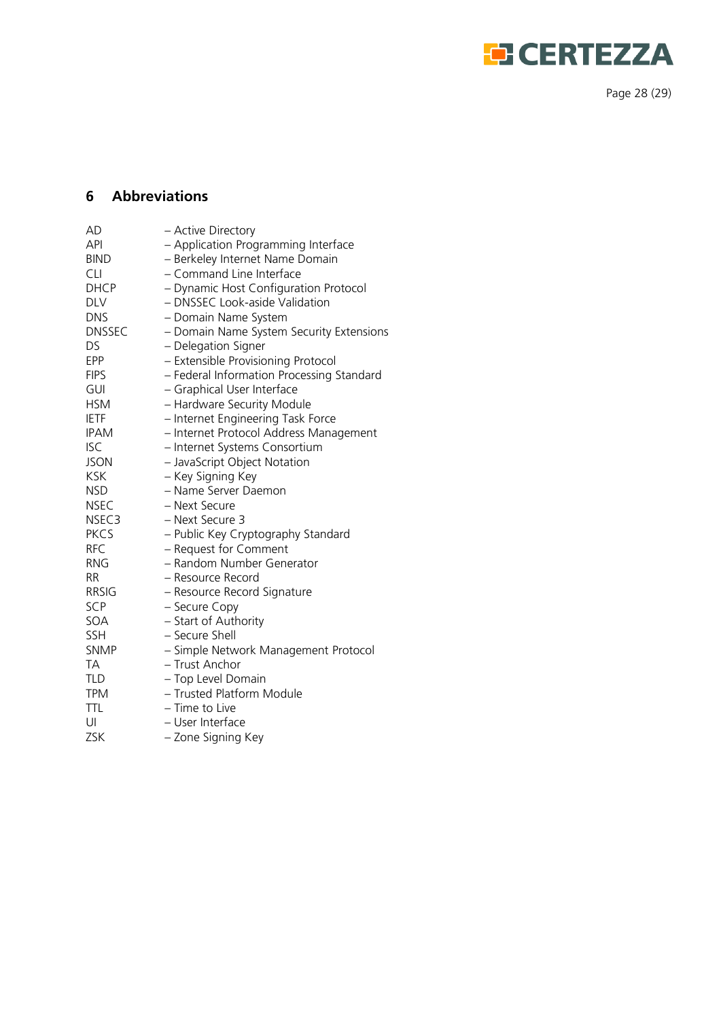

Page 28 (29 )

# <span id="page-27-0"></span>**6 Abbreviations**

| AD          | - Active Directory                        |
|-------------|-------------------------------------------|
| API         | - Application Programming Interface       |
| <b>BIND</b> | - Berkeley Internet Name Domain           |
| <b>CLI</b>  | - Command Line Interface                  |
| DHCP        | - Dynamic Host Configuration Protocol     |
| <b>DLV</b>  | - DNSSEC Look-aside Validation            |
| <b>DNS</b>  | - Domain Name System                      |
| DNSSEC      | - Domain Name System Security Extensions  |
| DS          | - Delegation Signer                       |
| <b>EPP</b>  | - Extensible Provisioning Protocol        |
| <b>FIPS</b> | - Federal Information Processing Standard |
| GUI         | - Graphical User Interface                |
| <b>HSM</b>  | - Hardware Security Module                |
| <b>IETF</b> | - Internet Engineering Task Force         |
| <b>IPAM</b> | - Internet Protocol Address Management    |
| <b>ISC</b>  | - Internet Systems Consortium             |
| JSON        | - JavaScript Object Notation              |
| <b>KSK</b>  | - Key Signing Key                         |
| <b>NSD</b>  | - Name Server Daemon                      |
| <b>NSEC</b> | - Next Secure                             |
| NSEC3       | - Next Secure 3                           |
| <b>PKCS</b> | - Public Key Cryptography Standard        |
| <b>RFC</b>  | - Request for Comment                     |
| <b>RNG</b>  | - Random Number Generator                 |
| RR          | - Resource Record                         |
| RRSIG       | - Resource Record Signature               |
| <b>SCP</b>  | - Secure Copy                             |
| SOA         | - Start of Authority                      |
| SSH         | - Secure Shell                            |
| SNMP        | - Simple Network Management Protocol      |
| ТA          | – Trust Anchor                            |
| TLD         | - Top Level Domain                        |
| <b>TPM</b>  | - Trusted Platform Module                 |
| <b>TTL</b>  | - Time to Live                            |
| UI          | - User Interface                          |
| ZSK         | - Zone Signing Key                        |